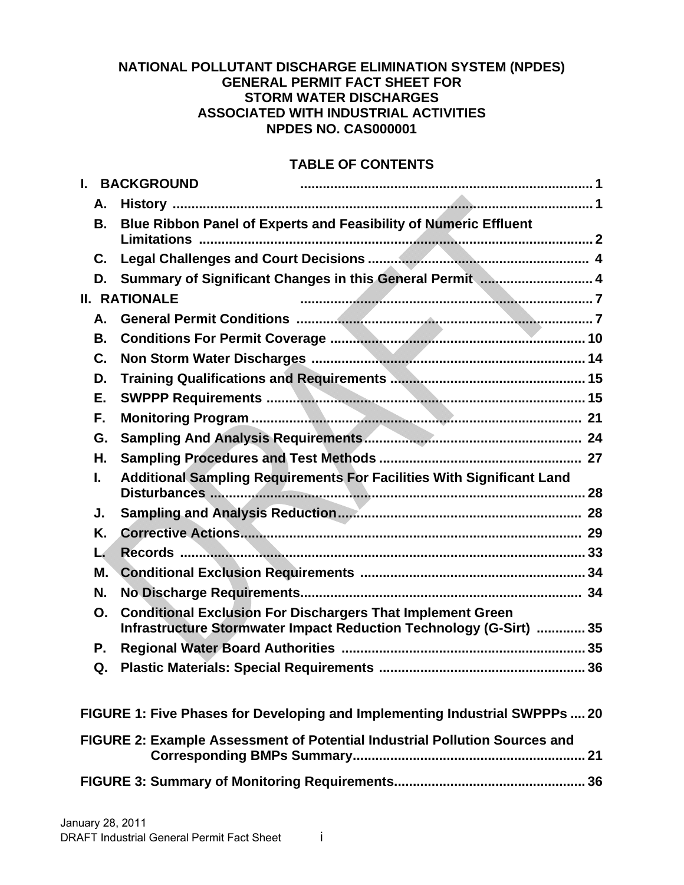### **NATIONAL POLLUTANT DISCHARGE ELIMINATION SYSTEM (NPDES) GENERAL PERMIT FACT SHEET FOR STORM WATER DISCHARGES ASSOCIATED WITH INDUSTRIAL ACTIVITIES NPDES NO. CAS000001**

### **TABLE OF CONTENTS**

| L. |                                                                            | <b>BACKGROUND</b>    |                                                                                                                                         |  |  |  |
|----|----------------------------------------------------------------------------|----------------------|-----------------------------------------------------------------------------------------------------------------------------------------|--|--|--|
|    | А.                                                                         |                      |                                                                                                                                         |  |  |  |
|    | В.                                                                         |                      | Blue Ribbon Panel of Experts and Feasibility of Numeric Effluent                                                                        |  |  |  |
|    | C.                                                                         |                      |                                                                                                                                         |  |  |  |
|    | D.                                                                         |                      | Summary of Significant Changes in this General Permit  4                                                                                |  |  |  |
|    |                                                                            | <b>II. RATIONALE</b> |                                                                                                                                         |  |  |  |
|    | А.                                                                         |                      |                                                                                                                                         |  |  |  |
|    | В.                                                                         |                      |                                                                                                                                         |  |  |  |
|    | C.                                                                         |                      |                                                                                                                                         |  |  |  |
|    | D.                                                                         |                      |                                                                                                                                         |  |  |  |
|    | Е.                                                                         |                      |                                                                                                                                         |  |  |  |
|    | F.                                                                         |                      |                                                                                                                                         |  |  |  |
|    | G.                                                                         |                      |                                                                                                                                         |  |  |  |
|    | Η.                                                                         |                      |                                                                                                                                         |  |  |  |
|    | L.                                                                         |                      | <b>Additional Sampling Requirements For Facilities With Significant Land</b>                                                            |  |  |  |
|    | J.                                                                         |                      |                                                                                                                                         |  |  |  |
|    | Κ.                                                                         |                      |                                                                                                                                         |  |  |  |
|    | L.                                                                         |                      |                                                                                                                                         |  |  |  |
|    | М.                                                                         |                      |                                                                                                                                         |  |  |  |
|    | N.                                                                         |                      |                                                                                                                                         |  |  |  |
|    | О.                                                                         |                      | <b>Conditional Exclusion For Dischargers That Implement Green</b><br>Infrastructure Stormwater Impact Reduction Technology (G-Sirt)  35 |  |  |  |
|    | Р.                                                                         |                      |                                                                                                                                         |  |  |  |
|    | Q.                                                                         |                      |                                                                                                                                         |  |  |  |
|    |                                                                            |                      | FIGURE 1: Five Phases for Developing and Implementing Industrial SWPPPs  20                                                             |  |  |  |
|    | FIGURE 2: Example Assessment of Potential Industrial Pollution Sources and |                      |                                                                                                                                         |  |  |  |
|    | 36                                                                         |                      |                                                                                                                                         |  |  |  |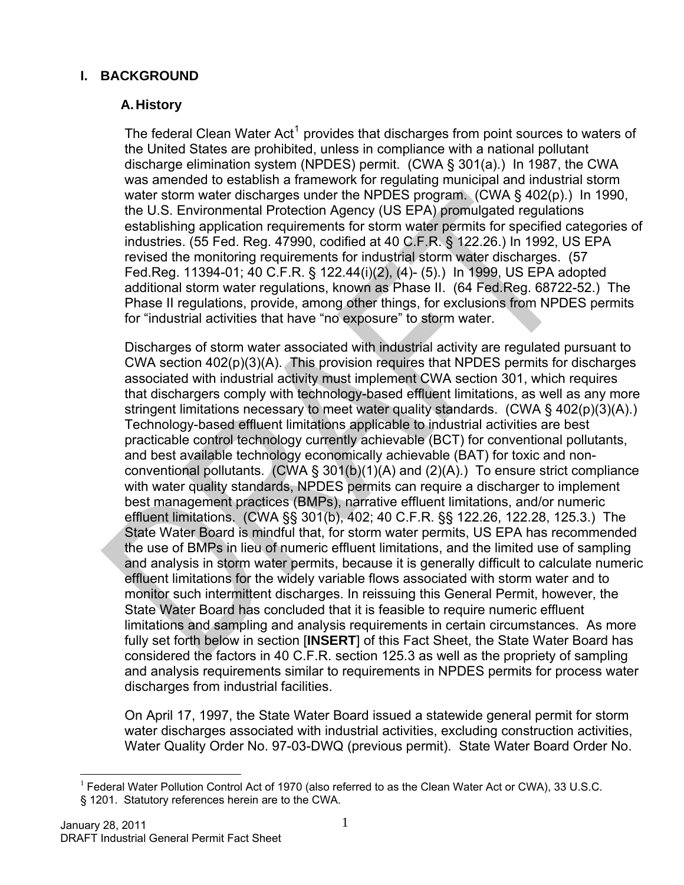# <span id="page-1-1"></span><span id="page-1-0"></span>**I. BACKGROUND**

# **A. History**

The federal Clean Water Act<sup>[1](#page-1-2)</sup> provides that discharges from point sources to waters of the United States are prohibited, unless in compliance with a national pollutant discharge elimination system (NPDES) permit. (CWA § 301(a).) In 1987, the CWA was amended to establish a framework for regulating municipal and industrial storm water storm water discharges under the NPDES program. (CWA § 402(p).) In 1990, the U.S. Environmental Protection Agency (US EPA) promulgated regulations establishing application requirements for storm water permits for specified categories of industries. (55 Fed. Reg. 47990, codified at 40 C.F.R. § 122.26.) In 1992, US EPA revised the monitoring requirements for industrial storm water discharges. (57 Fed.Reg. 11394-01; 40 C.F.R. § 122.44(i)(2), (4)- (5).) In 1999, US EPA adopted additional storm water regulations, known as Phase II. (64 Fed.Reg. 68722-52.) The Phase II regulations, provide, among other things, for exclusions from NPDES permits for "industrial activities that have "no exposure" to storm water.

Discharges of storm water associated with industrial activity are regulated pursuant to CWA section 402(p)(3)(A). This provision requires that NPDES permits for discharges associated with industrial activity must implement CWA section 301, which requires that dischargers comply with technology-based effluent limitations, as well as any more stringent limitations necessary to meet water quality standards. (CWA § 402(p)(3)(A).) Technology-based effluent limitations applicable to industrial activities are best practicable control technology currently achievable (BCT) for conventional pollutants, and best available technology economically achievable (BAT) for toxic and nonconventional pollutants.  $(CWA \S 301(b)(1)(A)$  and  $(2)(A)$ . To ensure strict compliance with water quality standards, NPDES permits can require a discharger to implement best management practices (BMPs), narrative effluent limitations, and/or numeric effluent limitations. (CWA §§ 301(b), 402; 40 C.F.R. §§ 122.26, 122.28, 125.3.) The State Water Board is mindful that, for storm water permits, US EPA has recommended the use of BMPs in lieu of numeric effluent limitations, and the limited use of sampling and analysis in storm water permits, because it is generally difficult to calculate numeric effluent limitations for the widely variable flows associated with storm water and to monitor such intermittent discharges. In reissuing this General Permit, however, the State Water Board has concluded that it is feasible to require numeric effluent limitations and sampling and analysis requirements in certain circumstances. As more fully set forth below in section [**INSERT**] of this Fact Sheet, the State Water Board has considered the factors in 40 C.F.R. section 125.3 as well as the propriety of sampling and analysis requirements similar to requirements in NPDES permits for process water discharges from industrial facilities.

On April 17, 1997, the State Water Board issued a statewide general permit for storm water discharges associated with industrial activities, excluding construction activities, Water Quality Order No. 97-03-DWQ (previous permit). State Water Board Order No.

<span id="page-1-2"></span> $\overline{a}$  $1$  Federal Water Pollution Control Act of 1970 (also referred to as the Clean Water Act or CWA), 33 U.S.C. § 1201. Statutory references herein are to the CWA.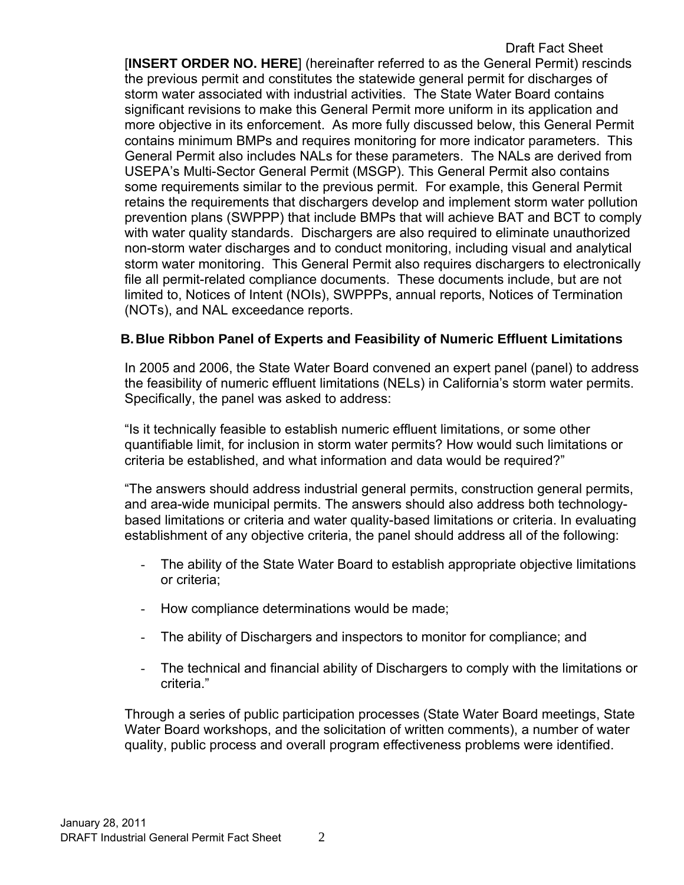Draft Fact Sheet [**INSERT ORDER NO. HERE**] (hereinafter referred to as the General Permit) rescinds the previous permit and constitutes the statewide general permit for discharges of storm water associated with industrial activities. The State Water Board contains significant revisions to make this General Permit more uniform in its application and more objective in its enforcement. As more fully discussed below, this General Permit contains minimum BMPs and requires monitoring for more indicator parameters. This General Permit also includes NALs for these parameters. The NALs are derived from USEPA's Multi-Sector General Permit (MSGP). This General Permit also contains some requirements similar to the previous permit. For example, this General Permit retains the requirements that dischargers develop and implement storm water pollution prevention plans (SWPPP) that include BMPs that will achieve BAT and BCT to comply with water quality standards. Dischargers are also required to eliminate unauthorized non-storm water discharges and to conduct monitoring, including visual and analytical storm water monitoring. This General Permit also requires dischargers to electronically file all permit-related compliance documents. These documents include, but are not limited to, Notices of Intent (NOIs), SWPPPs, annual reports, Notices of Termination (NOTs), and NAL exceedance reports.

## <span id="page-2-0"></span>**B. Blue Ribbon Panel of Experts and Feasibility of Numeric Effluent Limitations**

In 2005 and 2006, the State Water Board convened an expert panel (panel) to address the feasibility of numeric effluent limitations (NELs) in California's storm water permits. Specifically, the panel was asked to address:

"Is it technically feasible to establish numeric effluent limitations, or some other quantifiable limit, for inclusion in storm water permits? How would such limitations or criteria be established, and what information and data would be required?"

"The answers should address industrial general permits, construction general permits, and area-wide municipal permits. The answers should also address both technologybased limitations or criteria and water quality-based limitations or criteria. In evaluating establishment of any objective criteria, the panel should address all of the following:

- The ability of the State Water Board to establish appropriate objective limitations or criteria;
- How compliance determinations would be made;
- The ability of Dischargers and inspectors to monitor for compliance; and
- The technical and financial ability of Dischargers to comply with the limitations or criteria."

Through a series of public participation processes (State Water Board meetings, State Water Board workshops, and the solicitation of written comments), a number of water quality, public process and overall program effectiveness problems were identified.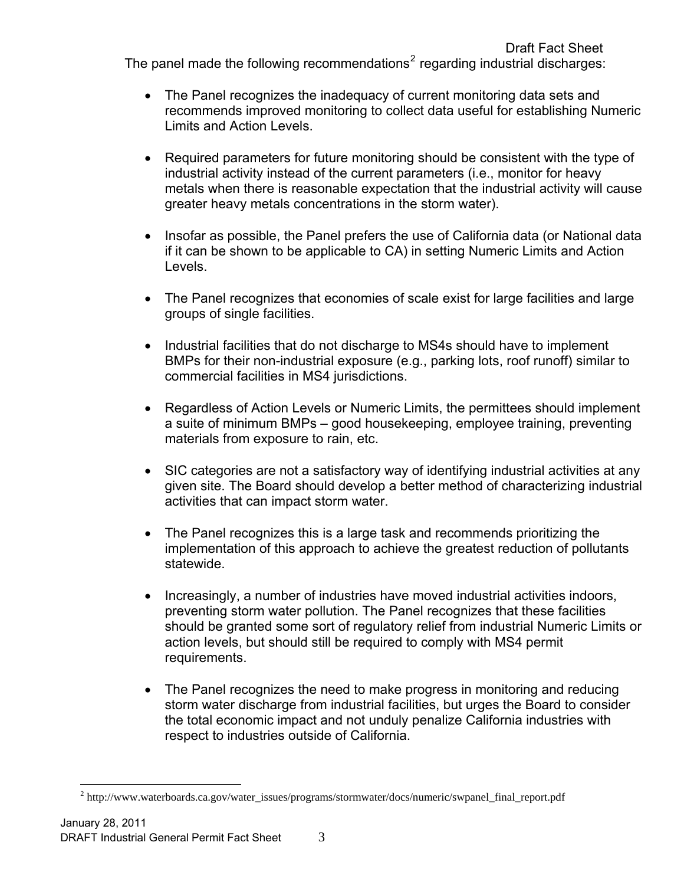Draft Fact Sheet The panel made the following recommendations<sup>[2](#page-3-0)</sup> regarding industrial discharges:

- The Panel recognizes the inadequacy of current monitoring data sets and recommends improved monitoring to collect data useful for establishing Numeric Limits and Action Levels.
- Required parameters for future monitoring should be consistent with the type of industrial activity instead of the current parameters (i.e., monitor for heavy metals when there is reasonable expectation that the industrial activity will cause greater heavy metals concentrations in the storm water).
- Insofar as possible, the Panel prefers the use of California data (or National data if it can be shown to be applicable to CA) in setting Numeric Limits and Action Levels.
- The Panel recognizes that economies of scale exist for large facilities and large groups of single facilities.
- Industrial facilities that do not discharge to MS4s should have to implement BMPs for their non-industrial exposure (e.g., parking lots, roof runoff) similar to commercial facilities in MS4 jurisdictions.
- Regardless of Action Levels or Numeric Limits, the permittees should implement a suite of minimum BMPs – good housekeeping, employee training, preventing materials from exposure to rain, etc.
- SIC categories are not a satisfactory way of identifying industrial activities at any given site. The Board should develop a better method of characterizing industrial activities that can impact storm water.
- The Panel recognizes this is a large task and recommends prioritizing the implementation of this approach to achieve the greatest reduction of pollutants statewide.
- Increasingly, a number of industries have moved industrial activities indoors, preventing storm water pollution. The Panel recognizes that these facilities should be granted some sort of regulatory relief from industrial Numeric Limits or action levels, but should still be required to comply with MS4 permit requirements.
- The Panel recognizes the need to make progress in monitoring and reducing storm water discharge from industrial facilities, but urges the Board to consider the total economic impact and not unduly penalize California industries with respect to industries outside of California.

 $\overline{a}$ 

<span id="page-3-0"></span><sup>&</sup>lt;sup>2</sup> http://www.waterboards.ca.gov/water\_issues/programs/stormwater/docs/numeric/swpanel\_final\_report.pdf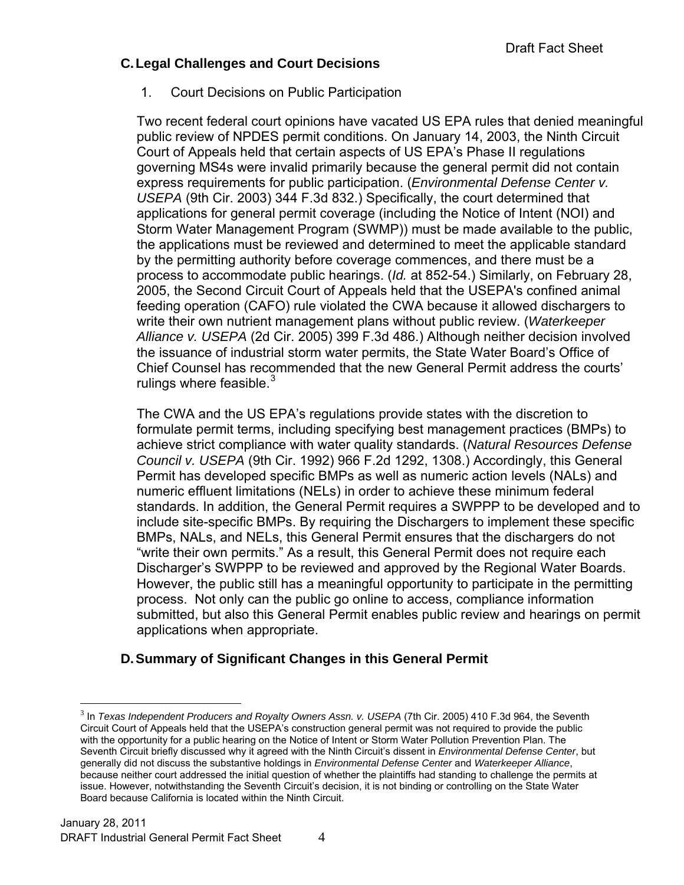## <span id="page-4-0"></span>**C. Legal Challenges and Court Decisions**

1. Court Decisions on Public Participation

Two recent federal court opinions have vacated US EPA rules that denied meaningful public review of NPDES permit conditions. On January 14, 2003, the Ninth Circuit Court of Appeals held that certain aspects of US EPA's Phase II regulations governing MS4s were invalid primarily because the general permit did not contain express requirements for public participation. (*Environmental Defense Center v. USEPA* (9th Cir. 2003) 344 F.3d 832.) Specifically, the court determined that applications for general permit coverage (including the Notice of Intent (NOI) and Storm Water Management Program (SWMP)) must be made available to the public, the applications must be reviewed and determined to meet the applicable standard by the permitting authority before coverage commences, and there must be a process to accommodate public hearings. (*Id.* at 852-54.) Similarly, on February 28, 2005, the Second Circuit Court of Appeals held that the USEPA's confined animal feeding operation (CAFO) rule violated the CWA because it allowed dischargers to write their own nutrient management plans without public review. (*Waterkeeper Alliance v. USEPA* (2d Cir. 2005) 399 F.3d 486.) Although neither decision involved the issuance of industrial storm water permits, the State Water Board's Office of Chief Counsel has recommended that the new General Permit address the courts' rulings where feasible. $3$ 

The CWA and the US EPA's regulations provide states with the discretion to formulate permit terms, including specifying best management practices (BMPs) to achieve strict compliance with water quality standards. (*Natural Resources Defense Council v. USEPA* (9th Cir. 1992) 966 F.2d 1292, 1308.) Accordingly, this General Permit has developed specific BMPs as well as numeric action levels (NALs) and numeric effluent limitations (NELs) in order to achieve these minimum federal standards. In addition, the General Permit requires a SWPPP to be developed and to include site-specific BMPs. By requiring the Dischargers to implement these specific BMPs, NALs, and NELs, this General Permit ensures that the dischargers do not "write their own permits." As a result, this General Permit does not require each Discharger's SWPPP to be reviewed and approved by the Regional Water Boards. However, the public still has a meaningful opportunity to participate in the permitting process. Not only can the public go online to access, compliance information submitted, but also this General Permit enables public review and hearings on permit applications when appropriate.

# **D. Summary of Significant Changes in this General Permit**

<span id="page-4-1"></span> $\overline{a}$ 

<span id="page-4-2"></span><sup>&</sup>lt;sup>3</sup> In *Texas Independent Producers and Royalty Owners Assn. v. USEPA (7th Cir. 2005) 410 F.3d 964, the Seventh* Circuit Court of Appeals held that the USEPA's construction general permit was not required to provide the public with the opportunity for a public hearing on the Notice of Intent or Storm Water Pollution Prevention Plan. The Seventh Circuit briefly discussed why it agreed with the Ninth Circuit's dissent in *Environmental Defense Center*, but generally did not discuss the substantive holdings in *Environmental Defense Center* and *Waterkeeper Alliance*, because neither court addressed the initial question of whether the plaintiffs had standing to challenge the permits at issue. However, notwithstanding the Seventh Circuit's decision, it is not binding or controlling on the State Water Board because California is located within the Ninth Circuit.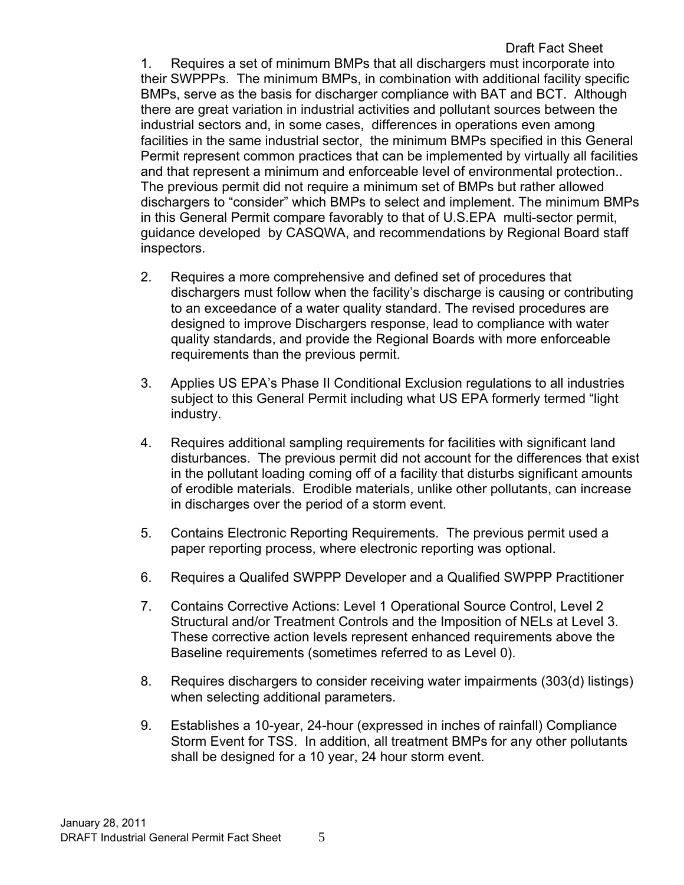Draft Fact Sheet 1. Requires a set of minimum BMPs that all dischargers must incorporate into their SWPPPs. The minimum BMPs, in combination with additional facility specific BMPs, serve as the basis for discharger compliance with BAT and BCT. Although there are great variation in industrial activities and pollutant sources between the industrial sectors and, in some cases, differences in operations even among facilities in the same industrial sector, the minimum BMPs specified in this General Permit represent common practices that can be implemented by virtually all facilities and that represent a minimum and enforceable level of environmental protection.. The previous permit did not require a minimum set of BMPs but rather allowed dischargers to "consider" which BMPs to select and implement. The minimum BMPs in this General Permit compare favorably to that of U.S.EPA multi-sector permit, guidance developed by CASQWA, and recommendations by Regional Board staff inspectors.

- 2. Requires a more comprehensive and defined set of procedures that dischargers must follow when the facility's discharge is causing or contributing to an exceedance of a water quality standard. The revised procedures are designed to improve Dischargers response, lead to compliance with water quality standards, and provide the Regional Boards with more enforceable requirements than the previous permit.
- 3. Applies US EPA's Phase II Conditional Exclusion regulations to all industries subject to this General Permit including what US EPA formerly termed "light industry.
- 4. Requires additional sampling requirements for facilities with significant land disturbances. The previous permit did not account for the differences that exist in the pollutant loading coming off of a facility that disturbs significant amounts of erodible materials. Erodible materials, unlike other pollutants, can increase in discharges over the period of a storm event.
- 5. Contains Electronic Reporting Requirements. The previous permit used a paper reporting process, where electronic reporting was optional.
- 6. Requires a Qualifed SWPPP Developer and a Qualified SWPPP Practitioner
- 7. Contains Corrective Actions: Level 1 Operational Source Control, Level 2 Structural and/or Treatment Controls and the Imposition of NELs at Level 3. These corrective action levels represent enhanced requirements above the Baseline requirements (sometimes referred to as Level 0).
- 8. Requires dischargers to consider receiving water impairments (303(d) listings) when selecting additional parameters.
- 9. Establishes a 10-year, 24-hour (expressed in inches of rainfall) Compliance Storm Event for TSS. In addition, all treatment BMPs for any other pollutants shall be designed for a 10 year, 24 hour storm event.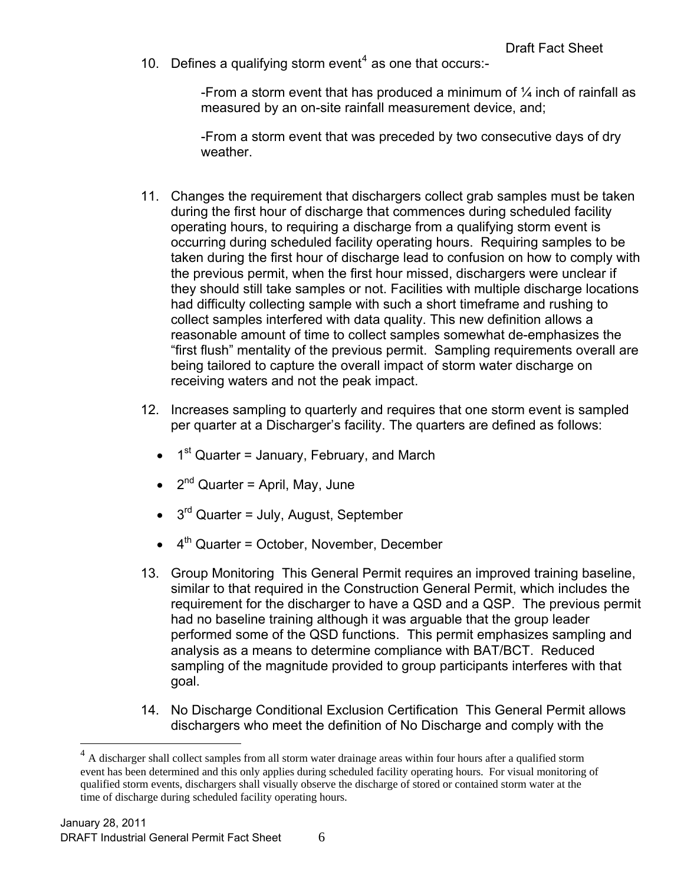10. Defines a qualifying storm event<sup>[4](#page-6-0)</sup> as one that occurs:-

-From a storm event that has produced a minimum of  $\frac{1}{4}$  inch of rainfall as measured by an on-site rainfall measurement device, and;

-From a storm event that was preceded by two consecutive days of dry weather.

- 11. Changes the requirement that dischargers collect grab samples must be taken during the first hour of discharge that commences during scheduled facility operating hours, to requiring a discharge from a qualifying storm event is occurring during scheduled facility operating hours. Requiring samples to be taken during the first hour of discharge lead to confusion on how to comply with the previous permit, when the first hour missed, dischargers were unclear if they should still take samples or not. Facilities with multiple discharge locations had difficulty collecting sample with such a short timeframe and rushing to collect samples interfered with data quality. This new definition allows a reasonable amount of time to collect samples somewhat de-emphasizes the "first flush" mentality of the previous permit. Sampling requirements overall are being tailored to capture the overall impact of storm water discharge on receiving waters and not the peak impact.
- 12. Increases sampling to quarterly and requires that one storm event is sampled per quarter at a Discharger's facility. The quarters are defined as follows:
	- $\bullet$  1<sup>st</sup> Quarter = January, February, and March
	- $2<sup>nd</sup>$  Quarter = April, May, June
	- $\bullet$  3<sup>rd</sup> Quarter = July, August, September
	- $\bullet$  4<sup>th</sup> Quarter = October, November, December
- 13. Group Monitoring This General Permit requires an improved training baseline, similar to that required in the Construction General Permit, which includes the requirement for the discharger to have a QSD and a QSP. The previous permit had no baseline training although it was arguable that the group leader performed some of the QSD functions. This permit emphasizes sampling and analysis as a means to determine compliance with BAT/BCT. Reduced sampling of the magnitude provided to group participants interferes with that goal.
- 14. No Discharge Conditional Exclusion Certification This General Permit allows dischargers who meet the definition of No Discharge and comply with the

 $\overline{a}$ 

<span id="page-6-0"></span> $4 \text{ A}$  discharger shall collect samples from all storm water drainage areas within four hours after a qualified storm event has been determined and this only applies during scheduled facility operating hours. For visual monitoring of qualified storm events, dischargers shall visually observe the discharge of stored or contained storm water at the time of discharge during scheduled facility operating hours.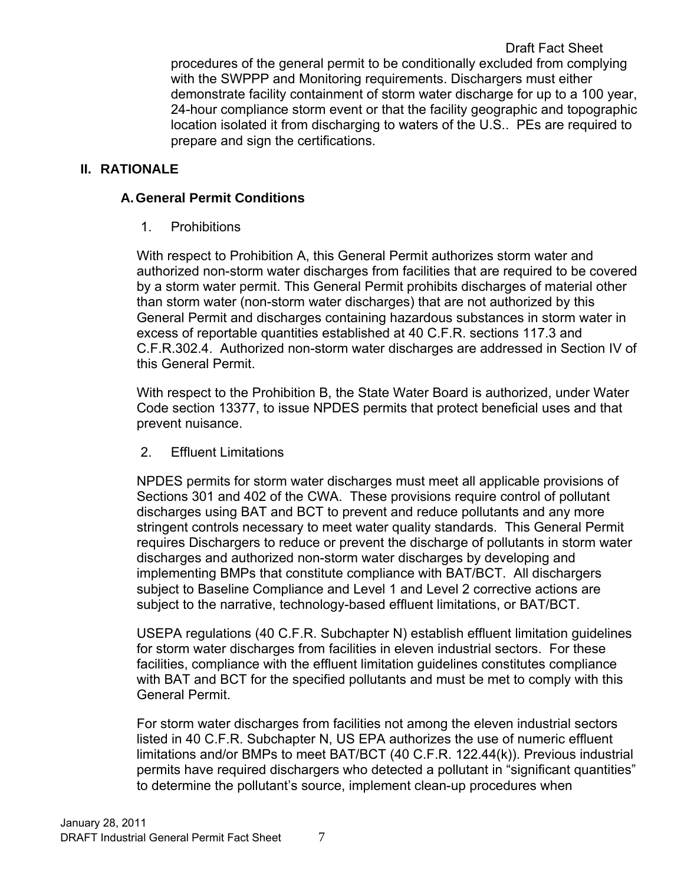Draft Fact Sheet procedures of the general permit to be conditionally excluded from complying with the SWPPP and Monitoring requirements. Dischargers must either demonstrate facility containment of storm water discharge for up to a 100 year, 24-hour compliance storm event or that the facility geographic and topographic location isolated it from discharging to waters of the U.S.. PEs are required to prepare and sign the certifications.

## <span id="page-7-1"></span><span id="page-7-0"></span>**II. RATIONALE**

## **A. General Permit Conditions**

1. Prohibitions

With respect to Prohibition A, this General Permit authorizes storm water and authorized non-storm water discharges from facilities that are required to be covered by a storm water permit. This General Permit prohibits discharges of material other than storm water (non-storm water discharges) that are not authorized by this General Permit and discharges containing hazardous substances in storm water in excess of reportable quantities established at 40 C.F.R. sections 117.3 and C.F.R.302.4. Authorized non-storm water discharges are addressed in Section IV of this General Permit.

With respect to the Prohibition B, the State Water Board is authorized, under Water Code section 13377, to issue NPDES permits that protect beneficial uses and that prevent nuisance.

2. Effluent Limitations

NPDES permits for storm water discharges must meet all applicable provisions of Sections 301 and 402 of the CWA. These provisions require control of pollutant discharges using BAT and BCT to prevent and reduce pollutants and any more stringent controls necessary to meet water quality standards. This General Permit requires Dischargers to reduce or prevent the discharge of pollutants in storm water discharges and authorized non-storm water discharges by developing and implementing BMPs that constitute compliance with BAT/BCT. All dischargers subject to Baseline Compliance and Level 1 and Level 2 corrective actions are subject to the narrative, technology-based effluent limitations, or BAT/BCT.

USEPA regulations (40 C.F.R. Subchapter N) establish effluent limitation guidelines for storm water discharges from facilities in eleven industrial sectors. For these facilities, compliance with the effluent limitation guidelines constitutes compliance with BAT and BCT for the specified pollutants and must be met to comply with this General Permit.

For storm water discharges from facilities not among the eleven industrial sectors listed in 40 C.F.R. Subchapter N, US EPA authorizes the use of numeric effluent limitations and/or BMPs to meet BAT/BCT (40 C.F.R. 122.44(k)). Previous industrial permits have required dischargers who detected a pollutant in "significant quantities" to determine the pollutant's source, implement clean-up procedures when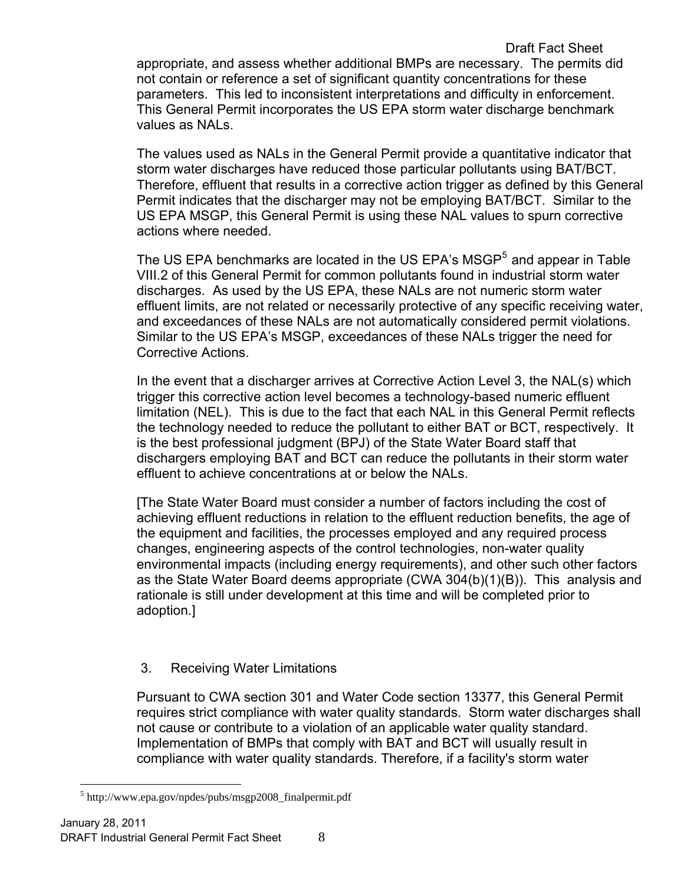The values used as NALs in the General Permit provide a quantitative indicator that storm water discharges have reduced those particular pollutants using BAT/BCT. Therefore, effluent that results in a corrective action trigger as defined by this General Permit indicates that the discharger may not be employing BAT/BCT. Similar to the US EPA MSGP, this General Permit is using these NAL values to spurn corrective actions where needed.

The US EPA benchmarks are located in the US EPA's MSGP $<sup>5</sup>$  $<sup>5</sup>$  $<sup>5</sup>$  and appear in Table</sup> VIII.2 of this General Permit for common pollutants found in industrial storm water discharges. As used by the US EPA, these NALs are not numeric storm water effluent limits, are not related or necessarily protective of any specific receiving water, and exceedances of these NALs are not automatically considered permit violations. Similar to the US EPA's MSGP, exceedances of these NALs trigger the need for Corrective Actions.

In the event that a discharger arrives at Corrective Action Level 3, the NAL(s) which trigger this corrective action level becomes a technology-based numeric effluent limitation (NEL). This is due to the fact that each NAL in this General Permit reflects the technology needed to reduce the pollutant to either BAT or BCT, respectively. It is the best professional judgment (BPJ) of the State Water Board staff that dischargers employing BAT and BCT can reduce the pollutants in their storm water effluent to achieve concentrations at or below the NALs.

[The State Water Board must consider a number of factors including the cost of achieving effluent reductions in relation to the effluent reduction benefits, the age of the equipment and facilities, the processes employed and any required process changes, engineering aspects of the control technologies, non-water quality environmental impacts (including energy requirements), and other such other factors as the State Water Board deems appropriate (CWA 304(b)(1)(B)). This analysis and rationale is still under development at this time and will be completed prior to adoption.]

# 3. Receiving Water Limitations

Pursuant to CWA section 301 and Water Code section 13377, this General Permit requires strict compliance with water quality standards. Storm water discharges shall not cause or contribute to a violation of an applicable water quality standard. Implementation of BMPs that comply with BAT and BCT will usually result in compliance with water quality standards. Therefore, if a facility's storm water

values as NALs.

<span id="page-8-0"></span> $\overline{a}$ 5 http://www.epa.gov/npdes/pubs/msgp2008\_finalpermit.pdf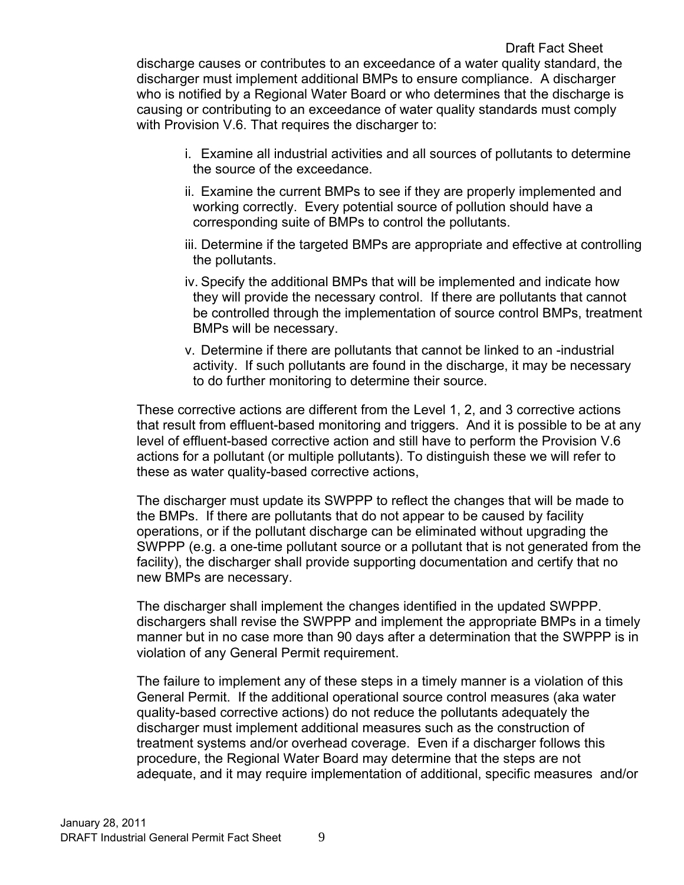- i. Examine all industrial activities and all sources of pollutants to determine the source of the exceedance.
- ii. Examine the current BMPs to see if they are properly implemented and working correctly. Every potential source of pollution should have a corresponding suite of BMPs to control the pollutants.
- iii. Determine if the targeted BMPs are appropriate and effective at controlling the pollutants.
- iv. Specify the additional BMPs that will be implemented and indicate how they will provide the necessary control. If there are pollutants that cannot be controlled through the implementation of source control BMPs, treatment BMPs will be necessary.
- v. Determine if there are pollutants that cannot be linked to an -industrial activity. If such pollutants are found in the discharge, it may be necessary to do further monitoring to determine their source.

These corrective actions are different from the Level 1, 2, and 3 corrective actions that result from effluent-based monitoring and triggers. And it is possible to be at any level of effluent-based corrective action and still have to perform the Provision V.6 actions for a pollutant (or multiple pollutants). To distinguish these we will refer to these as water quality-based corrective actions,

The discharger must update its SWPPP to reflect the changes that will be made to the BMPs. If there are pollutants that do not appear to be caused by facility operations, or if the pollutant discharge can be eliminated without upgrading the SWPPP (e.g. a one-time pollutant source or a pollutant that is not generated from the facility), the discharger shall provide supporting documentation and certify that no new BMPs are necessary.

The discharger shall implement the changes identified in the updated SWPPP. dischargers shall revise the SWPPP and implement the appropriate BMPs in a timely manner but in no case more than 90 days after a determination that the SWPPP is in violation of any General Permit requirement.

The failure to implement any of these steps in a timely manner is a violation of this General Permit. If the additional operational source control measures (aka water quality-based corrective actions) do not reduce the pollutants adequately the discharger must implement additional measures such as the construction of treatment systems and/or overhead coverage. Even if a discharger follows this procedure, the Regional Water Board may determine that the steps are not adequate, and it may require implementation of additional, specific measures and/or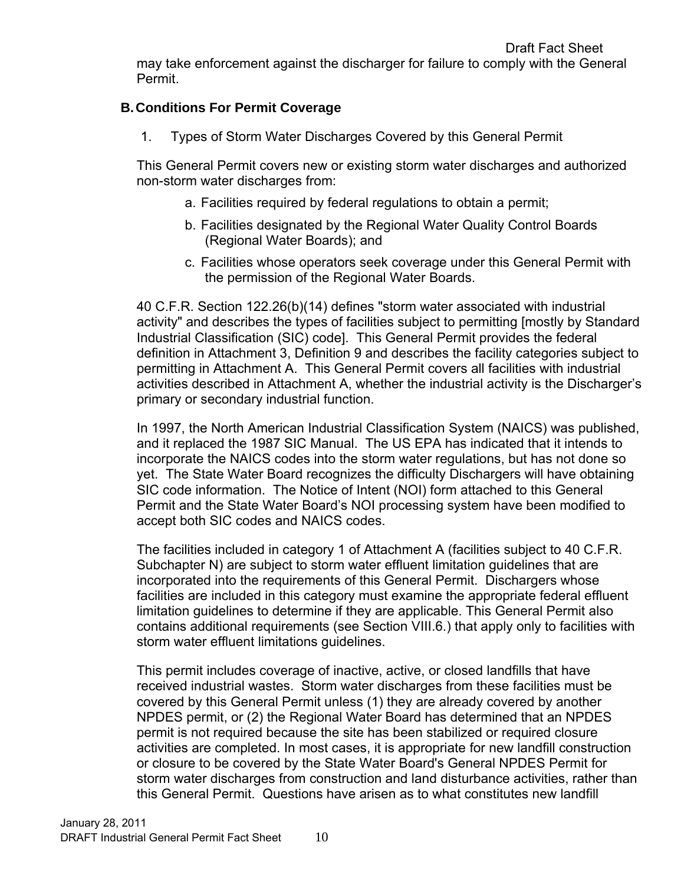may take enforcement against the discharger for failure to comply with the General Permit.

## <span id="page-10-0"></span>**B. Conditions For Permit Coverage**

1. Types of Storm Water Discharges Covered by this General Permit

This General Permit covers new or existing storm water discharges and authorized non-storm water discharges from:

- a. Facilities required by federal regulations to obtain a permit;
- b. Facilities designated by the Regional Water Quality Control Boards (Regional Water Boards); and
- c. Facilities whose operators seek coverage under this General Permit with the permission of the Regional Water Boards.

40 C.F.R. Section 122.26(b)(14) defines "storm water associated with industrial activity" and describes the types of facilities subject to permitting [mostly by Standard Industrial Classification (SIC) code]. This General Permit provides the federal definition in Attachment 3, Definition 9 and describes the facility categories subject to permitting in Attachment A. This General Permit covers all facilities with industrial activities described in Attachment A, whether the industrial activity is the Discharger's primary or secondary industrial function.

In 1997, the North American Industrial Classification System (NAICS) was published, and it replaced the 1987 SIC Manual. The US EPA has indicated that it intends to incorporate the NAICS codes into the storm water regulations, but has not done so yet. The State Water Board recognizes the difficulty Dischargers will have obtaining SIC code information. The Notice of Intent (NOI) form attached to this General Permit and the State Water Board's NOI processing system have been modified to accept both SIC codes and NAICS codes.

The facilities included in category 1 of Attachment A (facilities subject to 40 C.F.R. Subchapter N) are subject to storm water effluent limitation guidelines that are incorporated into the requirements of this General Permit. Dischargers whose facilities are included in this category must examine the appropriate federal effluent limitation guidelines to determine if they are applicable. This General Permit also contains additional requirements (see Section VIII.6.) that apply only to facilities with storm water effluent limitations guidelines.

This permit includes coverage of inactive, active, or closed landfills that have received industrial wastes. Storm water discharges from these facilities must be covered by this General Permit unless (1) they are already covered by another NPDES permit, or (2) the Regional Water Board has determined that an NPDES permit is not required because the site has been stabilized or required closure activities are completed. In most cases, it is appropriate for new landfill construction or closure to be covered by the State Water Board's General NPDES Permit for storm water discharges from construction and land disturbance activities, rather than this General Permit. Questions have arisen as to what constitutes new landfill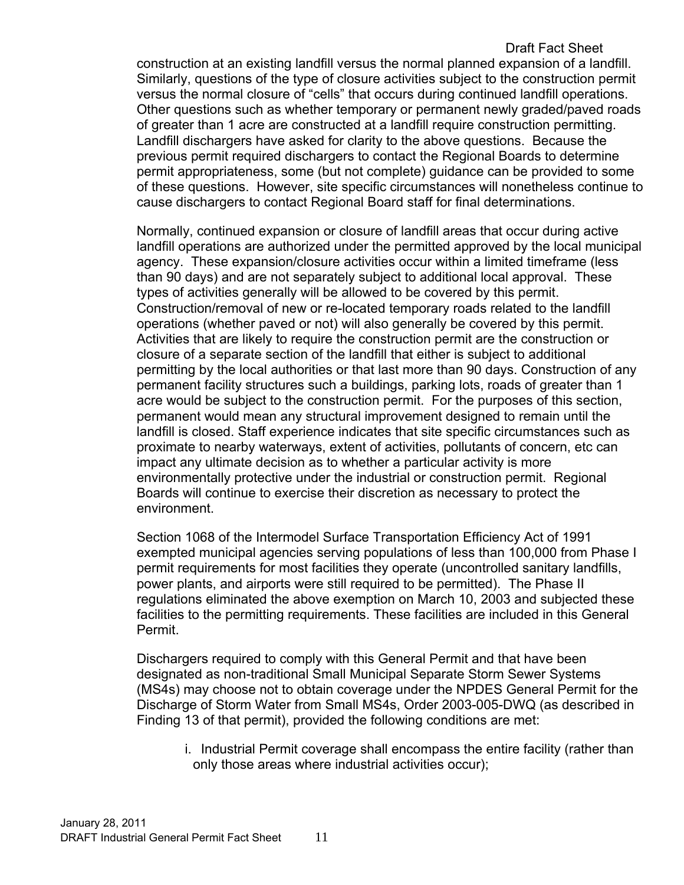### Draft Fact Sheet

construction at an existing landfill versus the normal planned expansion of a landfill. Similarly, questions of the type of closure activities subject to the construction permit versus the normal closure of "cells" that occurs during continued landfill operations. Other questions such as whether temporary or permanent newly graded/paved roads of greater than 1 acre are constructed at a landfill require construction permitting. Landfill dischargers have asked for clarity to the above questions. Because the previous permit required dischargers to contact the Regional Boards to determine permit appropriateness, some (but not complete) guidance can be provided to some of these questions. However, site specific circumstances will nonetheless continue to cause dischargers to contact Regional Board staff for final determinations.

Normally, continued expansion or closure of landfill areas that occur during active landfill operations are authorized under the permitted approved by the local municipal agency. These expansion/closure activities occur within a limited timeframe (less than 90 days) and are not separately subject to additional local approval. These types of activities generally will be allowed to be covered by this permit. Construction/removal of new or re-located temporary roads related to the landfill operations (whether paved or not) will also generally be covered by this permit. Activities that are likely to require the construction permit are the construction or closure of a separate section of the landfill that either is subject to additional permitting by the local authorities or that last more than 90 days. Construction of any permanent facility structures such a buildings, parking lots, roads of greater than 1 acre would be subject to the construction permit. For the purposes of this section, permanent would mean any structural improvement designed to remain until the landfill is closed. Staff experience indicates that site specific circumstances such as proximate to nearby waterways, extent of activities, pollutants of concern, etc can impact any ultimate decision as to whether a particular activity is more environmentally protective under the industrial or construction permit. Regional Boards will continue to exercise their discretion as necessary to protect the environment.

Section 1068 of the Intermodel Surface Transportation Efficiency Act of 1991 exempted municipal agencies serving populations of less than 100,000 from Phase I permit requirements for most facilities they operate (uncontrolled sanitary landfills, power plants, and airports were still required to be permitted). The Phase II regulations eliminated the above exemption on March 10, 2003 and subjected these facilities to the permitting requirements. These facilities are included in this General Permit.

Dischargers required to comply with this General Permit and that have been designated as non-traditional Small Municipal Separate Storm Sewer Systems (MS4s) may choose not to obtain coverage under the NPDES General Permit for the Discharge of Storm Water from Small MS4s, Order 2003-005-DWQ (as described in Finding 13 of that permit), provided the following conditions are met:

i. Industrial Permit coverage shall encompass the entire facility (rather than only those areas where industrial activities occur);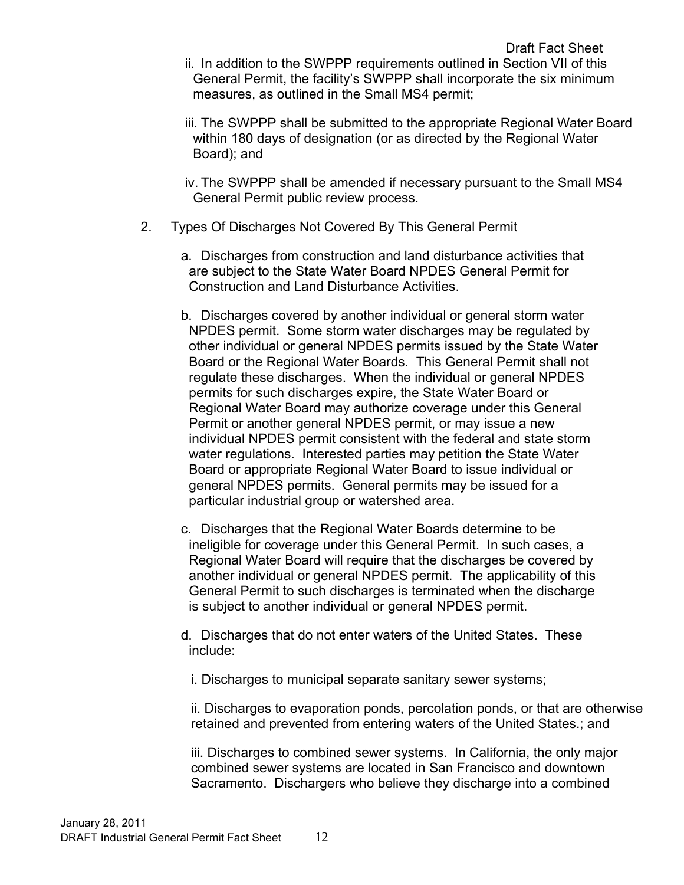iii. The SWPPP shall be submitted to the appropriate Regional Water Board within 180 days of designation (or as directed by the Regional Water Board); and

iv. The SWPPP shall be amended if necessary pursuant to the Small MS4 General Permit public review process.

- 2. Types Of Discharges Not Covered By This General Permit
	- a. Discharges from construction and land disturbance activities that are subject to the State Water Board NPDES General Permit for Construction and Land Disturbance Activities.
	- b. Discharges covered by another individual or general storm water NPDES permit. Some storm water discharges may be regulated by other individual or general NPDES permits issued by the State Water Board or the Regional Water Boards. This General Permit shall not regulate these discharges. When the individual or general NPDES permits for such discharges expire, the State Water Board or Regional Water Board may authorize coverage under this General Permit or another general NPDES permit, or may issue a new individual NPDES permit consistent with the federal and state storm water regulations. Interested parties may petition the State Water Board or appropriate Regional Water Board to issue individual or general NPDES permits. General permits may be issued for a particular industrial group or watershed area.
	- c. Discharges that the Regional Water Boards determine to be ineligible for coverage under this General Permit. In such cases, a Regional Water Board will require that the discharges be covered by another individual or general NPDES permit. The applicability of this General Permit to such discharges is terminated when the discharge is subject to another individual or general NPDES permit.
	- d. Discharges that do not enter waters of the United States. These include:
		- i. Discharges to municipal separate sanitary sewer systems;

ii. Discharges to evaporation ponds, percolation ponds, or that are otherwise retained and prevented from entering waters of the United States.; and

iii. Discharges to combined sewer systems. In California, the only major combined sewer systems are located in San Francisco and downtown Sacramento. Dischargers who believe they discharge into a combined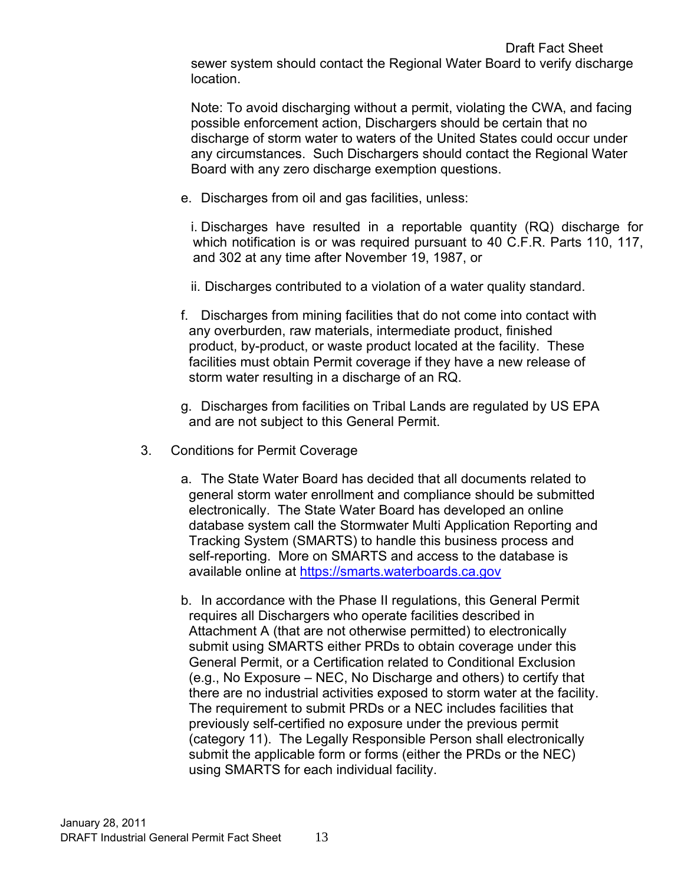Note: To avoid discharging without a permit, violating the CWA, and facing possible enforcement action, Dischargers should be certain that no discharge of storm water to waters of the United States could occur under any circumstances. Such Dischargers should contact the Regional Water Board with any zero discharge exemption questions.

e. Discharges from oil and gas facilities, unless:

i. Discharges have resulted in a reportable quantity (RQ) discharge for which notification is or was required pursuant to 40 C.F.R. Parts 110, 117, and 302 at any time after November 19, 1987, or

- ii. Discharges contributed to a violation of a water quality standard.
- f. Discharges from mining facilities that do not come into contact with any overburden, raw materials, intermediate product, finished product, by-product, or waste product located at the facility. These facilities must obtain Permit coverage if they have a new release of storm water resulting in a discharge of an RQ.
- g. Discharges from facilities on Tribal Lands are regulated by US EPA and are not subject to this General Permit.
- 3. Conditions for Permit Coverage
	- a. The State Water Board has decided that all documents related to general storm water enrollment and compliance should be submitted electronically. The State Water Board has developed an online database system call the Stormwater Multi Application Reporting and Tracking System (SMARTS) to handle this business process and self-reporting. More on SMARTS and access to the database is available online at [https://smarts.waterboards.ca.gov](https://smarts.waterboards.ca.gov/)
	- b. In accordance with the Phase II regulations, this General Permit requires all Dischargers who operate facilities described in Attachment A (that are not otherwise permitted) to electronically submit using SMARTS either PRDs to obtain coverage under this General Permit, or a Certification related to Conditional Exclusion (e.g., No Exposure – NEC, No Discharge and others) to certify that there are no industrial activities exposed to storm water at the facility. The requirement to submit PRDs or a NEC includes facilities that previously self-certified no exposure under the previous permit (category 11). The Legally Responsible Person shall electronically submit the applicable form or forms (either the PRDs or the NEC) using SMARTS for each individual facility.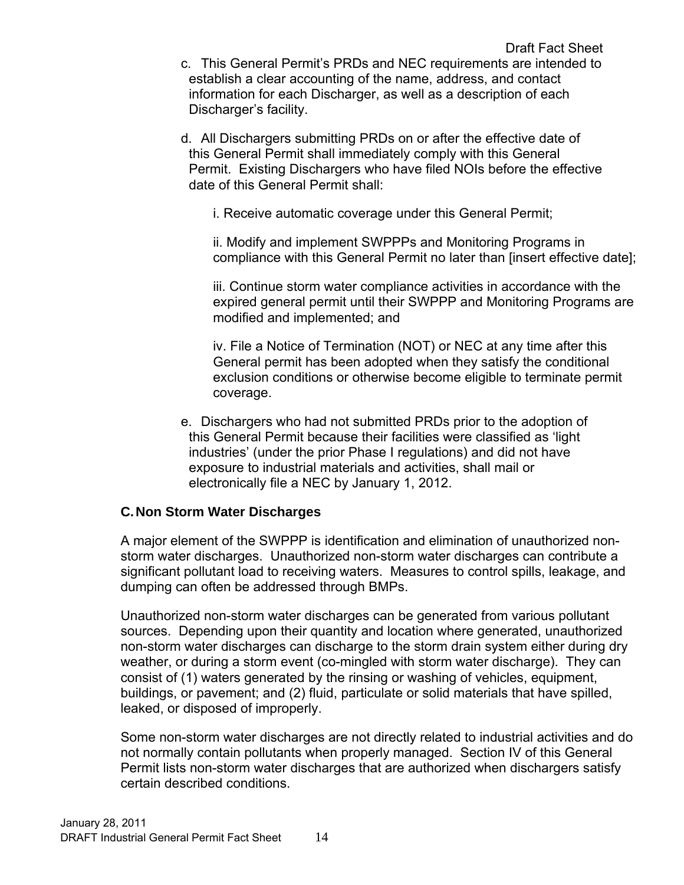d. All Dischargers submitting PRDs on or after the effective date of this General Permit shall immediately comply with this General Permit. Existing Dischargers who have filed NOIs before the effective date of this General Permit shall:

i. Receive automatic coverage under this General Permit;

ii. Modify and implement SWPPPs and Monitoring Programs in compliance with this General Permit no later than [insert effective date];

iii. Continue storm water compliance activities in accordance with the expired general permit until their SWPPP and Monitoring Programs are modified and implemented; and

iv. File a Notice of Termination (NOT) or NEC at any time after this General permit has been adopted when they satisfy the conditional exclusion conditions or otherwise become eligible to terminate permit coverage.

e. Dischargers who had not submitted PRDs prior to the adoption of this General Permit because their facilities were classified as 'light industries' (under the prior Phase I regulations) and did not have exposure to industrial materials and activities, shall mail or electronically file a NEC by January 1, 2012.

# <span id="page-14-0"></span>**C. Non Storm Water Discharges**

A major element of the SWPPP is identification and elimination of unauthorized nonstorm water discharges. Unauthorized non-storm water discharges can contribute a significant pollutant load to receiving waters. Measures to control spills, leakage, and dumping can often be addressed through BMPs.

Unauthorized non-storm water discharges can be generated from various pollutant sources. Depending upon their quantity and location where generated, unauthorized non-storm water discharges can discharge to the storm drain system either during dry weather, or during a storm event (co-mingled with storm water discharge). They can consist of (1) waters generated by the rinsing or washing of vehicles, equipment, buildings, or pavement; and (2) fluid, particulate or solid materials that have spilled, leaked, or disposed of improperly.

Some non-storm water discharges are not directly related to industrial activities and do not normally contain pollutants when properly managed. Section IV of this General Permit lists non-storm water discharges that are authorized when dischargers satisfy certain described conditions.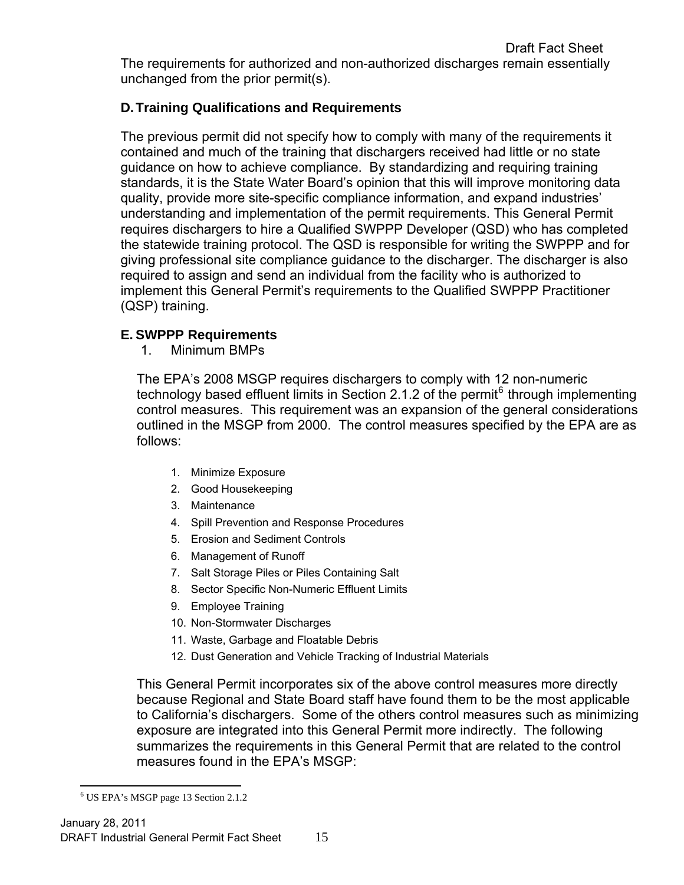The requirements for authorized and non-authorized discharges remain essentially unchanged from the prior permit(s).

# <span id="page-15-0"></span>**D. Training Qualifications and Requirements**

The previous permit did not specify how to comply with many of the requirements it contained and much of the training that dischargers received had little or no state guidance on how to achieve compliance. By standardizing and requiring training standards, it is the State Water Board's opinion that this will improve monitoring data quality, provide more site-specific compliance information, and expand industries' understanding and implementation of the permit requirements. This General Permit requires dischargers to hire a Qualified SWPPP Developer (QSD) who has completed the statewide training protocol. The QSD is responsible for writing the SWPPP and for giving professional site compliance guidance to the discharger. The discharger is also required to assign and send an individual from the facility who is authorized to implement this General Permit's requirements to the Qualified SWPPP Practitioner (QSP) training.

## <span id="page-15-1"></span>**E. SWPPP Requirements**

1. Minimum BMPs

The EPA's 2008 MSGP requires dischargers to comply with 12 non-numeric technology based effluent limits in Section 2.1.2 of the permit<sup>[6](#page-15-2)</sup> through implementing control measures. This requirement was an expansion of the general considerations outlined in the MSGP from 2000. The control measures specified by the EPA are as follows:

- 1. Minimize Exposure
- 2. Good Housekeeping
- 3. Maintenance
- 4. Spill Prevention and Response Procedures
- 5. Erosion and Sediment Controls
- 6. Management of Runoff
- 7. Salt Storage Piles or Piles Containing Salt
- 8. Sector Specific Non-Numeric Effluent Limits
- 9. Employee Training
- 10. Non-Stormwater Discharges
- 11. Waste, Garbage and Floatable Debris
- 12. Dust Generation and Vehicle Tracking of Industrial Materials

This General Permit incorporates six of the above control measures more directly because Regional and State Board staff have found them to be the most applicable to California's dischargers. Some of the others control measures such as minimizing exposure are integrated into this General Permit more indirectly. The following summarizes the requirements in this General Permit that are related to the control measures found in the EPA's MSGP:

<span id="page-15-2"></span> $\overline{a}$ 6 US EPA's MSGP page 13 Section 2.1.2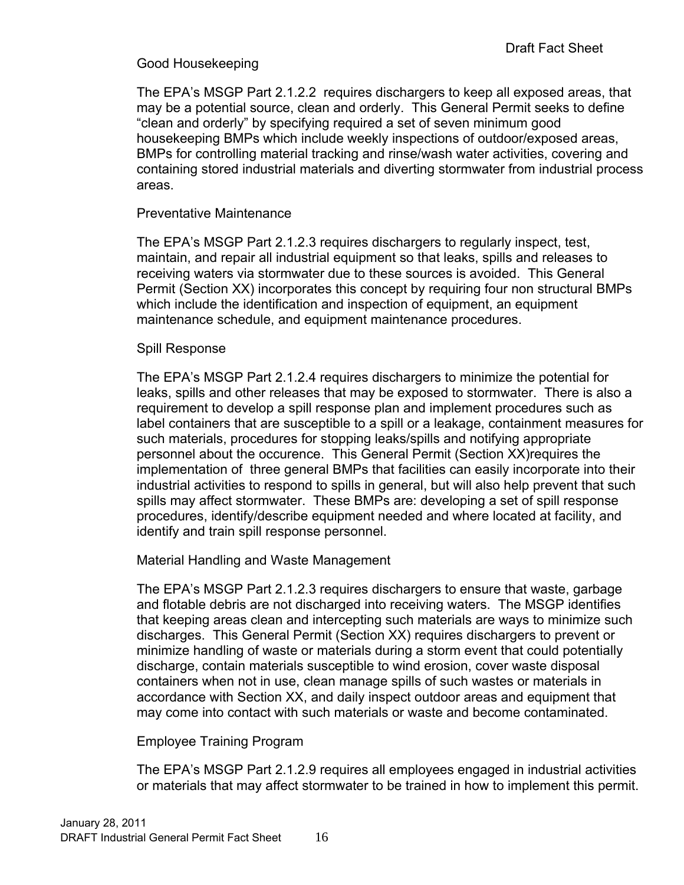## Good Housekeeping

The EPA's MSGP Part 2.1.2.2 requires dischargers to keep all exposed areas, that may be a potential source, clean and orderly. This General Permit seeks to define "clean and orderly" by specifying required a set of seven minimum good housekeeping BMPs which include weekly inspections of outdoor/exposed areas, BMPs for controlling material tracking and rinse/wash water activities, covering and containing stored industrial materials and diverting stormwater from industrial process areas.

### Preventative Maintenance

The EPA's MSGP Part 2.1.2.3 requires dischargers to regularly inspect, test, maintain, and repair all industrial equipment so that leaks, spills and releases to receiving waters via stormwater due to these sources is avoided. This General Permit (Section XX) incorporates this concept by requiring four non structural BMPs which include the identification and inspection of equipment, an equipment maintenance schedule, and equipment maintenance procedures.

#### Spill Response

The EPA's MSGP Part 2.1.2.4 requires dischargers to minimize the potential for leaks, spills and other releases that may be exposed to stormwater. There is also a requirement to develop a spill response plan and implement procedures such as label containers that are susceptible to a spill or a leakage, containment measures for such materials, procedures for stopping leaks/spills and notifying appropriate personnel about the occurence. This General Permit (Section XX)requires the implementation of three general BMPs that facilities can easily incorporate into their industrial activities to respond to spills in general, but will also help prevent that such spills may affect stormwater. These BMPs are: developing a set of spill response procedures, identify/describe equipment needed and where located at facility, and identify and train spill response personnel.

Material Handling and Waste Management

The EPA's MSGP Part 2.1.2.3 requires dischargers to ensure that waste, garbage and flotable debris are not discharged into receiving waters. The MSGP identifies that keeping areas clean and intercepting such materials are ways to minimize such discharges. This General Permit (Section XX) requires dischargers to prevent or minimize handling of waste or materials during a storm event that could potentially discharge, contain materials susceptible to wind erosion, cover waste disposal containers when not in use, clean manage spills of such wastes or materials in accordance with Section XX, and daily inspect outdoor areas and equipment that may come into contact with such materials or waste and become contaminated.

### Employee Training Program

The EPA's MSGP Part 2.1.2.9 requires all employees engaged in industrial activities or materials that may affect stormwater to be trained in how to implement this permit.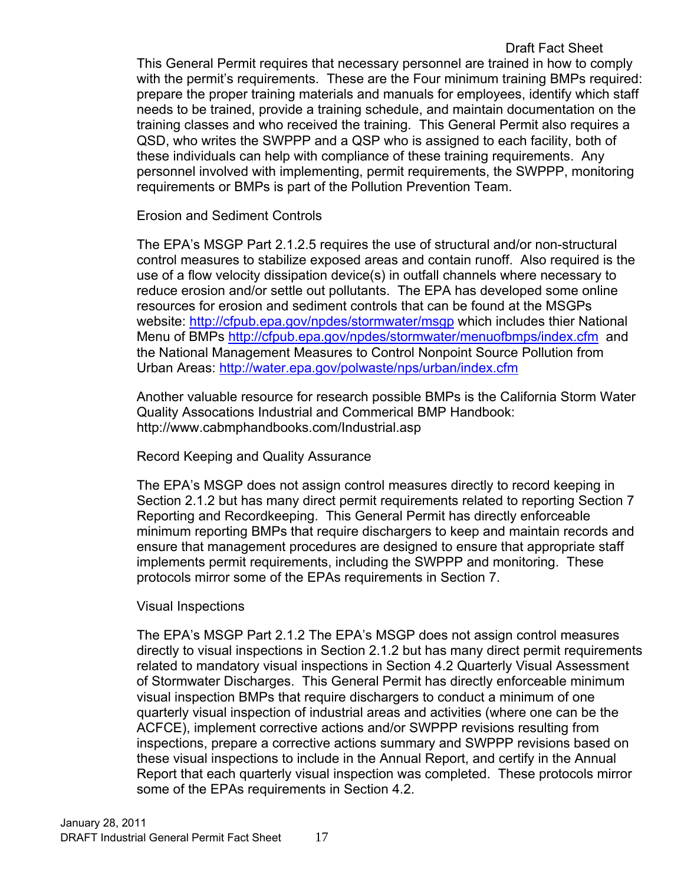## Draft Fact Sheet

This General Permit requires that necessary personnel are trained in how to comply with the permit's requirements. These are the Four minimum training BMPs required: prepare the proper training materials and manuals for employees, identify which staff needs to be trained, provide a training schedule, and maintain documentation on the training classes and who received the training. This General Permit also requires a QSD, who writes the SWPPP and a QSP who is assigned to each facility, both of these individuals can help with compliance of these training requirements. Any personnel involved with implementing, permit requirements, the SWPPP, monitoring requirements or BMPs is part of the Pollution Prevention Team.

Erosion and Sediment Controls

The EPA's MSGP Part 2.1.2.5 requires the use of structural and/or non-structural control measures to stabilize exposed areas and contain runoff. Also required is the use of a flow velocity dissipation device(s) in outfall channels where necessary to reduce erosion and/or settle out pollutants. The EPA has developed some online resources for erosion and sediment controls that can be found at the MSGPs website: <http://cfpub.epa.gov/npdes/stormwater/msgp>which includes thier National Menu of BMPs<http://cfpub.epa.gov/npdes/stormwater/menuofbmps/index.cfm>and the National Management Measures to Control Nonpoint Source Pollution from Urban Areas:<http://water.epa.gov/polwaste/nps/urban/index.cfm>

Another valuable resource for research possible BMPs is the California Storm Water Quality Assocations Industrial and Commerical BMP Handbook: http://www.cabmphandbooks.com/Industrial.asp

Record Keeping and Quality Assurance

The EPA's MSGP does not assign control measures directly to record keeping in Section 2.1.2 but has many direct permit requirements related to reporting Section 7 Reporting and Recordkeeping. This General Permit has directly enforceable minimum reporting BMPs that require dischargers to keep and maintain records and ensure that management procedures are designed to ensure that appropriate staff implements permit requirements, including the SWPPP and monitoring. These protocols mirror some of the EPAs requirements in Section 7.

### Visual Inspections

The EPA's MSGP Part 2.1.2 The EPA's MSGP does not assign control measures directly to visual inspections in Section 2.1.2 but has many direct permit requirements related to mandatory visual inspections in Section 4.2 Quarterly Visual Assessment of Stormwater Discharges. This General Permit has directly enforceable minimum visual inspection BMPs that require dischargers to conduct a minimum of one quarterly visual inspection of industrial areas and activities (where one can be the ACFCE), implement corrective actions and/or SWPPP revisions resulting from inspections, prepare a corrective actions summary and SWPPP revisions based on these visual inspections to include in the Annual Report, and certify in the Annual Report that each quarterly visual inspection was completed. These protocols mirror some of the EPAs requirements in Section 4.2.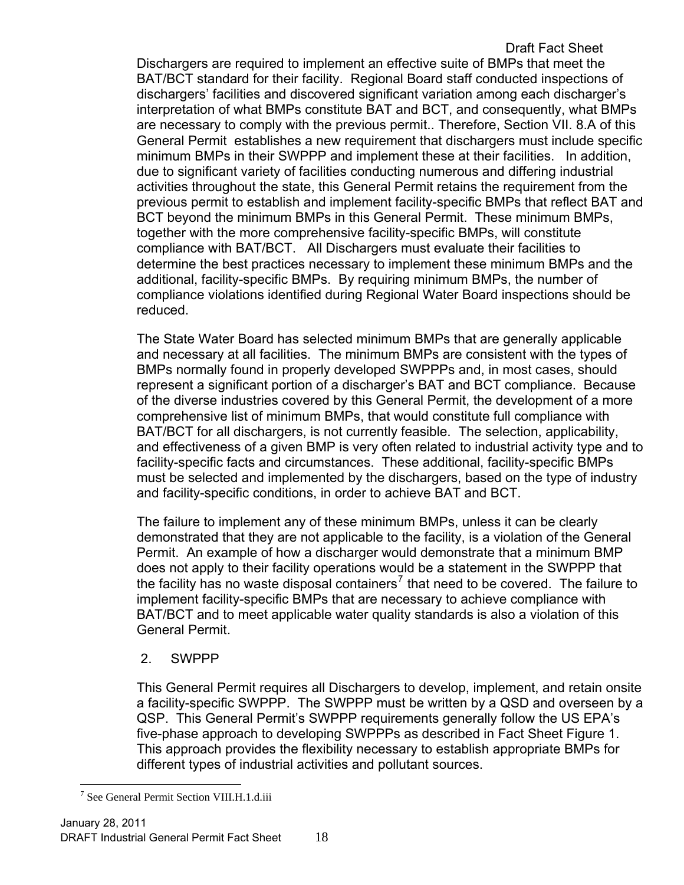Draft Fact Sheet Dischargers are required to implement an effective suite of BMPs that meet the BAT/BCT standard for their facility. Regional Board staff conducted inspections of dischargers' facilities and discovered significant variation among each discharger's interpretation of what BMPs constitute BAT and BCT, and consequently, what BMPs are necessary to comply with the previous permit.. Therefore, Section VII. 8.A of this General Permit establishes a new requirement that dischargers must include specific minimum BMPs in their SWPPP and implement these at their facilities. In addition, due to significant variety of facilities conducting numerous and differing industrial activities throughout the state, this General Permit retains the requirement from the previous permit to establish and implement facility-specific BMPs that reflect BAT and BCT beyond the minimum BMPs in this General Permit. These minimum BMPs, together with the more comprehensive facility-specific BMPs, will constitute compliance with BAT/BCT. All Dischargers must evaluate their facilities to determine the best practices necessary to implement these minimum BMPs and the additional, facility-specific BMPs. By requiring minimum BMPs, the number of compliance violations identified during Regional Water Board inspections should be reduced.

The State Water Board has selected minimum BMPs that are generally applicable and necessary at all facilities. The minimum BMPs are consistent with the types of BMPs normally found in properly developed SWPPPs and, in most cases, should represent a significant portion of a discharger's BAT and BCT compliance. Because of the diverse industries covered by this General Permit, the development of a more comprehensive list of minimum BMPs, that would constitute full compliance with BAT/BCT for all dischargers, is not currently feasible. The selection, applicability, and effectiveness of a given BMP is very often related to industrial activity type and to facility-specific facts and circumstances. These additional, facility-specific BMPs must be selected and implemented by the dischargers, based on the type of industry and facility-specific conditions, in order to achieve BAT and BCT.

The failure to implement any of these minimum BMPs, unless it can be clearly demonstrated that they are not applicable to the facility, is a violation of the General Permit. An example of how a discharger would demonstrate that a minimum BMP does not apply to their facility operations would be a statement in the SWPPP that the facility has no waste disposal containers<sup>[7](#page-18-0)</sup> that need to be covered. The failure to implement facility-specific BMPs that are necessary to achieve compliance with BAT/BCT and to meet applicable water quality standards is also a violation of this General Permit.

### 2. SWPPP

This General Permit requires all Dischargers to develop, implement, and retain onsite a facility-specific SWPPP. The SWPPP must be written by a QSD and overseen by a QSP. This General Permit's SWPPP requirements generally follow the US EPA's five-phase approach to developing SWPPPs as described in Fact Sheet Figure 1. This approach provides the flexibility necessary to establish appropriate BMPs for different types of industrial activities and pollutant sources.

<span id="page-18-0"></span> $\overline{a}$ 7 See General Permit Section VIII.H.1.d.iii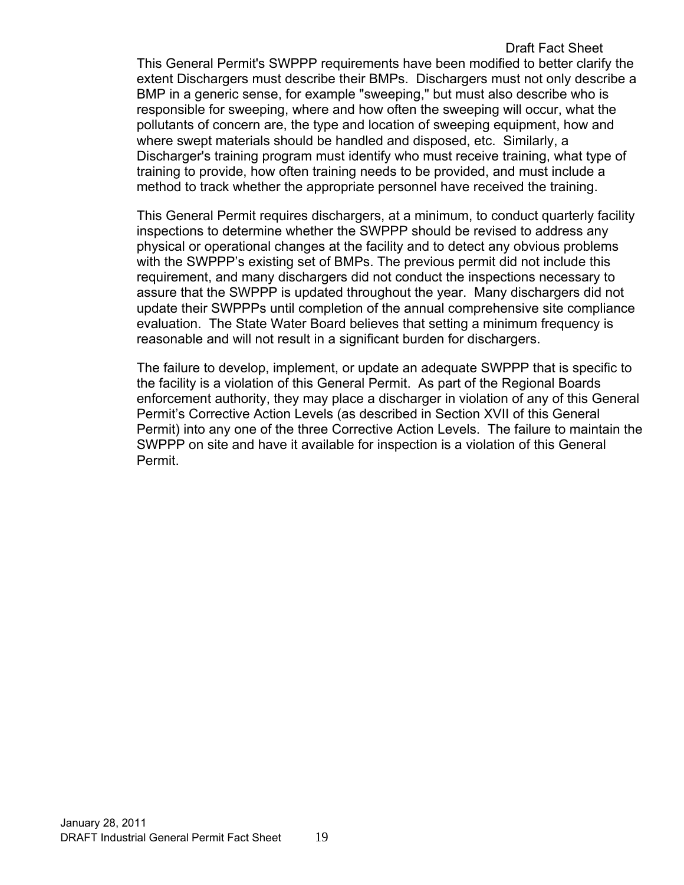#### Draft Fact Sheet This General Permit's SWPPP requirements have been modified to better clarify the extent Dischargers must describe their BMPs. Dischargers must not only describe a BMP in a generic sense, for example "sweeping," but must also describe who is responsible for sweeping, where and how often the sweeping will occur, what the pollutants of concern are, the type and location of sweeping equipment, how and where swept materials should be handled and disposed, etc. Similarly, a Discharger's training program must identify who must receive training, what type of training to provide, how often training needs to be provided, and must include a method to track whether the appropriate personnel have received the training.

This General Permit requires dischargers, at a minimum, to conduct quarterly facility inspections to determine whether the SWPPP should be revised to address any physical or operational changes at the facility and to detect any obvious problems with the SWPPP's existing set of BMPs. The previous permit did not include this requirement, and many dischargers did not conduct the inspections necessary to assure that the SWPPP is updated throughout the year. Many dischargers did not update their SWPPPs until completion of the annual comprehensive site compliance evaluation. The State Water Board believes that setting a minimum frequency is reasonable and will not result in a significant burden for dischargers.

The failure to develop, implement, or update an adequate SWPPP that is specific to the facility is a violation of this General Permit. As part of the Regional Boards enforcement authority, they may place a discharger in violation of any of this General Permit's Corrective Action Levels (as described in Section XVII of this General Permit) into any one of the three Corrective Action Levels. The failure to maintain the SWPPP on site and have it available for inspection is a violation of this General Permit.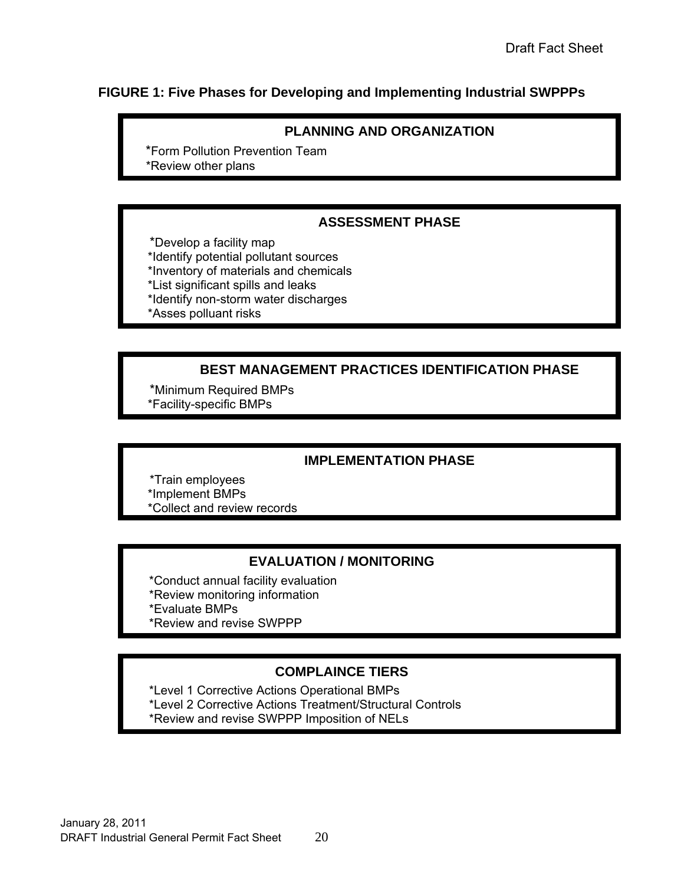## <span id="page-20-0"></span>**FIGURE 1: Five Phases for Developing and Implementing Industrial SWPPPs**

### **PLANNING AND ORGANIZATION**

 \*Form Pollution Prevention Team \*Review other plans

#### **ASSESSMENT PHASE**

 \*Develop a facility map \*Identify potential pollutant sources \*Inventory of materials and chemicals \*List significant spills and leaks \*Identify non-storm water discharges \*Asses polluant risks

## **BEST MANAGEMENT PRACTICES IDENTIFICATION PHASE**

 \*Minimum Required BMPs \*Facility-specific BMPs

### **IMPLEMENTATION PHASE**

 \*Train employees \*Implement BMPs \*Collect and review records

### **EVALUATION / MONITORING**

 \*Conduct annual facility evaluation \*Review monitoring information \*Evaluate BMPs \*Review and revise SWPPP

### **COMPLAINCE TIERS**

 \*Level 1 Corrective Actions Operational BMPs \*Level 2 Corrective Actions Treatment/Structural Controls \*Review and revise SWPPP Imposition of NELs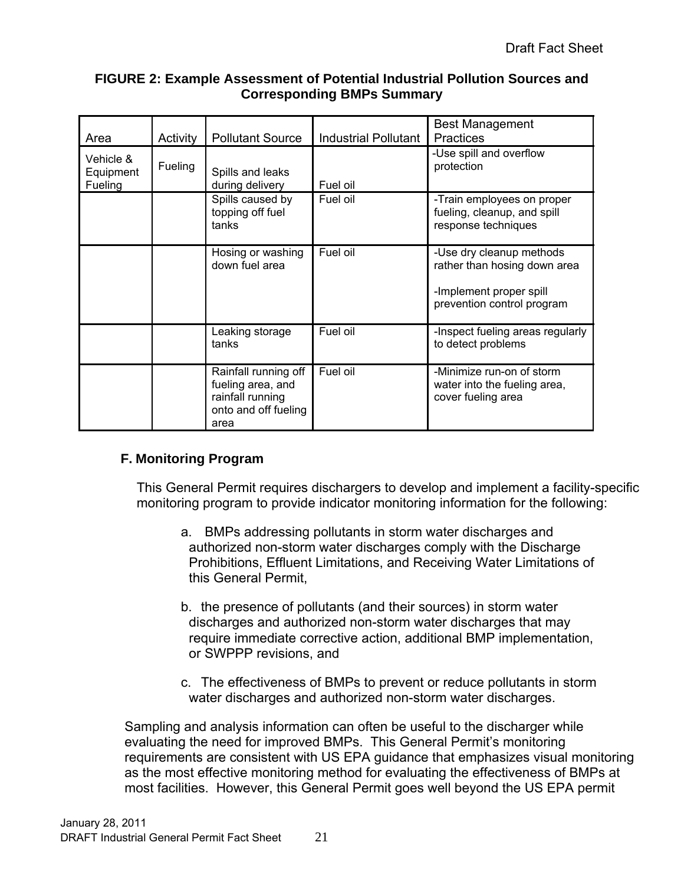### **FIGURE 2: Example Assessment of Potential Industrial Pollution Sources and Corresponding BMPs Summary**

<span id="page-21-1"></span>

| Area                              | Activity | <b>Pollutant Source</b>                                                                       | <b>Industrial Pollutant</b> | <b>Best Management</b><br><b>Practices</b>                                                                        |
|-----------------------------------|----------|-----------------------------------------------------------------------------------------------|-----------------------------|-------------------------------------------------------------------------------------------------------------------|
| Vehicle &<br>Equipment<br>Fueling | Fueling  | Spills and leaks<br>during delivery                                                           | Fuel oil                    | -Use spill and overflow<br>protection                                                                             |
|                                   |          | Spills caused by<br>topping off fuel<br>tanks                                                 | Fuel oil                    | -Train employees on proper<br>fueling, cleanup, and spill<br>response techniques                                  |
|                                   |          | Hosing or washing<br>down fuel area                                                           | Fuel oil                    | -Use dry cleanup methods<br>rather than hosing down area<br>-Implement proper spill<br>prevention control program |
|                                   |          | Leaking storage<br>tanks                                                                      | Fuel oil                    | -Inspect fueling areas regularly<br>to detect problems                                                            |
|                                   |          | Rainfall running off<br>fueling area, and<br>rainfall running<br>onto and off fueling<br>area | Fuel oil                    | -Minimize run-on of storm<br>water into the fueling area,<br>cover fueling area                                   |

## <span id="page-21-0"></span>**F. Monitoring Program**

This General Permit requires dischargers to develop and implement a facility-specific monitoring program to provide indicator monitoring information for the following:

- a. BMPs addressing pollutants in storm water discharges and authorized non-storm water discharges comply with the Discharge Prohibitions, Effluent Limitations, and Receiving Water Limitations of this General Permit,
- b. the presence of pollutants (and their sources) in storm water discharges and authorized non-storm water discharges that may require immediate corrective action, additional BMP implementation, or SWPPP revisions, and
- c. The effectiveness of BMPs to prevent or reduce pollutants in storm water discharges and authorized non-storm water discharges.

Sampling and analysis information can often be useful to the discharger while evaluating the need for improved BMPs. This General Permit's monitoring requirements are consistent with US EPA guidance that emphasizes visual monitoring as the most effective monitoring method for evaluating the effectiveness of BMPs at most facilities. However, this General Permit goes well beyond the US EPA permit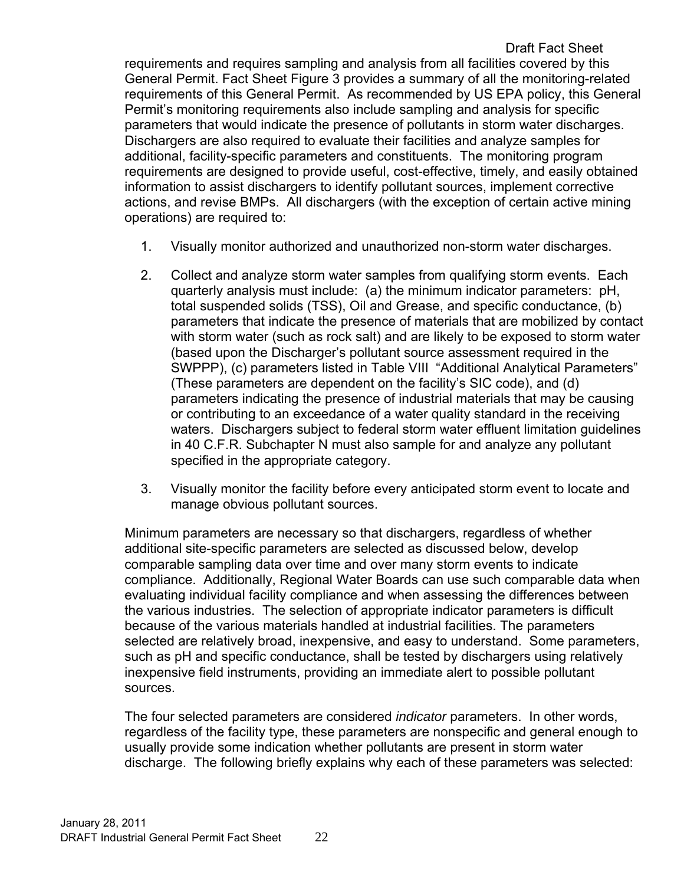Draft Fact Sheet requirements and requires sampling and analysis from all facilities covered by this General Permit. Fact Sheet Figure 3 provides a summary of all the monitoring-related requirements of this General Permit. As recommended by US EPA policy, this General Permit's monitoring requirements also include sampling and analysis for specific parameters that would indicate the presence of pollutants in storm water discharges. Dischargers are also required to evaluate their facilities and analyze samples for additional, facility-specific parameters and constituents. The monitoring program requirements are designed to provide useful, cost-effective, timely, and easily obtained information to assist dischargers to identify pollutant sources, implement corrective actions, and revise BMPs. All dischargers (with the exception of certain active mining operations) are required to:

- 1. Visually monitor authorized and unauthorized non-storm water discharges.
- 2. Collect and analyze storm water samples from qualifying storm events. Each quarterly analysis must include: (a) the minimum indicator parameters: pH, total suspended solids (TSS), Oil and Grease, and specific conductance, (b) parameters that indicate the presence of materials that are mobilized by contact with storm water (such as rock salt) and are likely to be exposed to storm water (based upon the Discharger's pollutant source assessment required in the SWPPP), (c) parameters listed in Table VIII "Additional Analytical Parameters" (These parameters are dependent on the facility's SIC code), and (d) parameters indicating the presence of industrial materials that may be causing or contributing to an exceedance of a water quality standard in the receiving waters. Dischargers subject to federal storm water effluent limitation guidelines in 40 C.F.R. Subchapter N must also sample for and analyze any pollutant specified in the appropriate category.
- 3. Visually monitor the facility before every anticipated storm event to locate and manage obvious pollutant sources.

Minimum parameters are necessary so that dischargers, regardless of whether additional site-specific parameters are selected as discussed below, develop comparable sampling data over time and over many storm events to indicate compliance. Additionally, Regional Water Boards can use such comparable data when evaluating individual facility compliance and when assessing the differences between the various industries. The selection of appropriate indicator parameters is difficult because of the various materials handled at industrial facilities. The parameters selected are relatively broad, inexpensive, and easy to understand. Some parameters, such as pH and specific conductance, shall be tested by dischargers using relatively inexpensive field instruments, providing an immediate alert to possible pollutant sources.

The four selected parameters are considered *indicator* parameters. In other words, regardless of the facility type, these parameters are nonspecific and general enough to usually provide some indication whether pollutants are present in storm water discharge. The following briefly explains why each of these parameters was selected: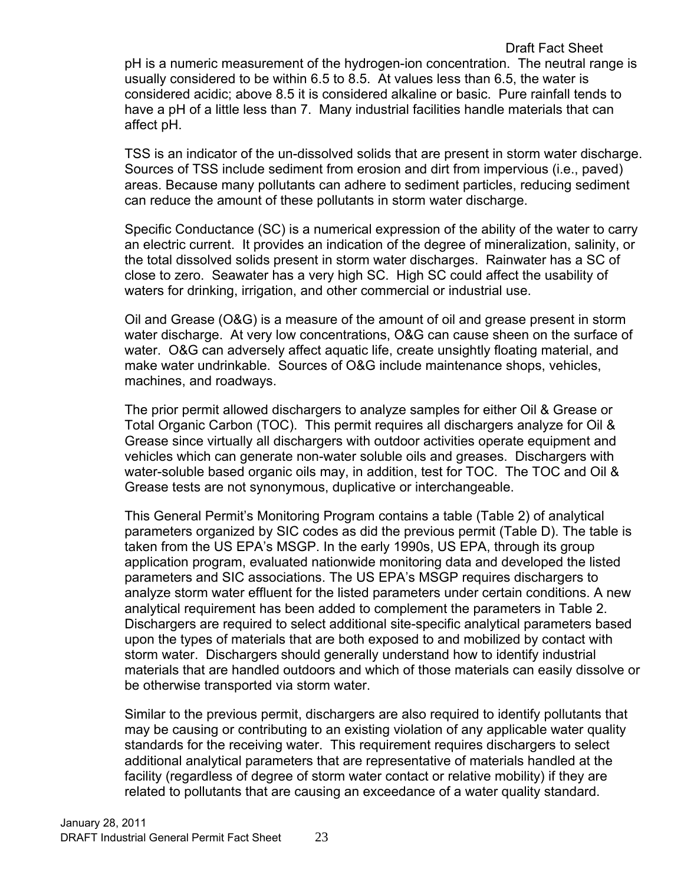pH is a numeric measurement of the hydrogen-ion concentration. The neutral range is usually considered to be within 6.5 to 8.5. At values less than 6.5, the water is considered acidic; above 8.5 it is considered alkaline or basic. Pure rainfall tends to have a pH of a little less than 7. Many industrial facilities handle materials that can affect pH.

TSS is an indicator of the un-dissolved solids that are present in storm water discharge. Sources of TSS include sediment from erosion and dirt from impervious (i.e., paved) areas. Because many pollutants can adhere to sediment particles, reducing sediment can reduce the amount of these pollutants in storm water discharge.

Specific Conductance (SC) is a numerical expression of the ability of the water to carry an electric current. It provides an indication of the degree of mineralization, salinity, or the total dissolved solids present in storm water discharges. Rainwater has a SC of close to zero. Seawater has a very high SC. High SC could affect the usability of waters for drinking, irrigation, and other commercial or industrial use.

Oil and Grease (O&G) is a measure of the amount of oil and grease present in storm water discharge. At very low concentrations, O&G can cause sheen on the surface of water. O&G can adversely affect aquatic life, create unsightly floating material, and make water undrinkable. Sources of O&G include maintenance shops, vehicles, machines, and roadways.

The prior permit allowed dischargers to analyze samples for either Oil & Grease or Total Organic Carbon (TOC). This permit requires all dischargers analyze for Oil & Grease since virtually all dischargers with outdoor activities operate equipment and vehicles which can generate non-water soluble oils and greases. Dischargers with water-soluble based organic oils may, in addition, test for TOC. The TOC and Oil & Grease tests are not synonymous, duplicative or interchangeable.

This General Permit's Monitoring Program contains a table (Table 2) of analytical parameters organized by SIC codes as did the previous permit (Table D). The table is taken from the US EPA's MSGP. In the early 1990s, US EPA, through its group application program, evaluated nationwide monitoring data and developed the listed parameters and SIC associations. The US EPA's MSGP requires dischargers to analyze storm water effluent for the listed parameters under certain conditions. A new analytical requirement has been added to complement the parameters in Table 2. Dischargers are required to select additional site-specific analytical parameters based upon the types of materials that are both exposed to and mobilized by contact with storm water. Dischargers should generally understand how to identify industrial materials that are handled outdoors and which of those materials can easily dissolve or be otherwise transported via storm water.

Similar to the previous permit, dischargers are also required to identify pollutants that may be causing or contributing to an existing violation of any applicable water quality standards for the receiving water. This requirement requires dischargers to select additional analytical parameters that are representative of materials handled at the facility (regardless of degree of storm water contact or relative mobility) if they are related to pollutants that are causing an exceedance of a water quality standard.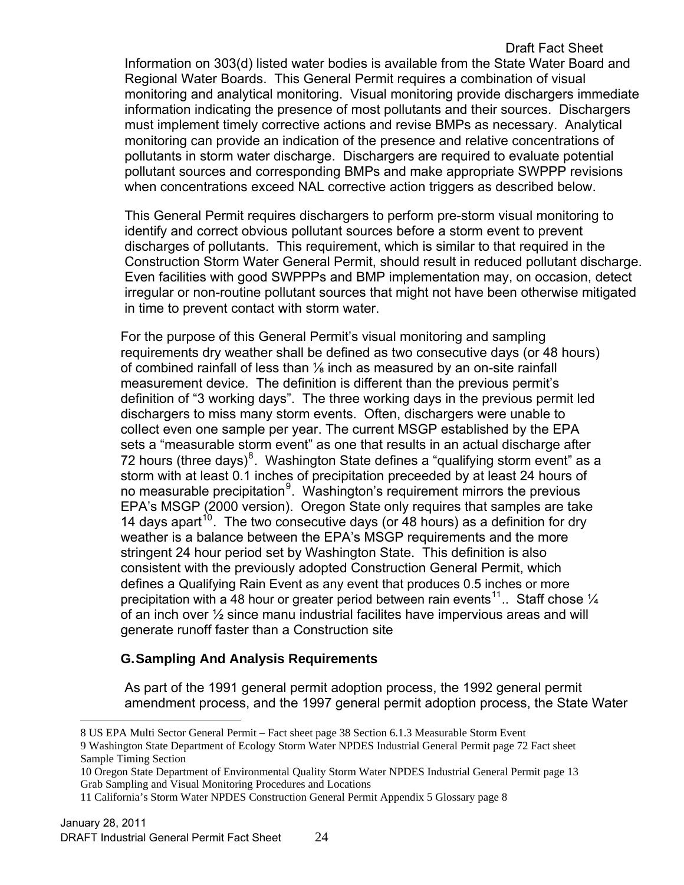#### Draft Fact Sheet

Information on 303(d) listed water bodies is available from the State Water Board and Regional Water Boards. This General Permit requires a combination of visual monitoring and analytical monitoring. Visual monitoring provide dischargers immediate information indicating the presence of most pollutants and their sources. Dischargers must implement timely corrective actions and revise BMPs as necessary. Analytical monitoring can provide an indication of the presence and relative concentrations of pollutants in storm water discharge. Dischargers are required to evaluate potential pollutant sources and corresponding BMPs and make appropriate SWPPP revisions when concentrations exceed NAL corrective action triggers as described below.

This General Permit requires dischargers to perform pre-storm visual monitoring to identify and correct obvious pollutant sources before a storm event to prevent discharges of pollutants. This requirement, which is similar to that required in the Construction Storm Water General Permit, should result in reduced pollutant discharge. Even facilities with good SWPPPs and BMP implementation may, on occasion, detect irregular or non-routine pollutant sources that might not have been otherwise mitigated in time to prevent contact with storm water.

For the purpose of this General Permit's visual monitoring and sampling requirements dry weather shall be defined as two consecutive days (or 48 hours) of combined rainfall of less than ⅛ inch as measured by an on-site rainfall measurement device. The definition is different than the previous permit's definition of "3 working days". The three working days in the previous permit led dischargers to miss many storm events. Often, dischargers were unable to colIect even one sample per year. The current MSGP established by the EPA sets a "measurable storm event" as one that results in an actual discharge after 72 hours (three days)<sup>[8](#page-24-1)</sup>. Washington State defines a "qualifying storm event" as a storm with at least 0.1 inches of precipitation preceeded by at least 24 hours of no measurable precipitation<sup>[9](#page-24-2)</sup>. Washington's requirement mirrors the previous EPA's MSGP (2000 version). Oregon State only requires that samples are take 14 days apart<sup>[10](#page-24-3)</sup>. The two consecutive days (or 48 hours) as a definition for dry weather is a balance between the EPA's MSGP requirements and the more stringent 24 hour period set by Washington State. This definition is also consistent with the previously adopted Construction General Permit, which defines a Qualifying Rain Event as any event that produces 0.5 inches or more precipitation with a 48 hour or greater period between rain events<sup>[11](#page-24-4)</sup>.. Staff chose  $\frac{1}{4}$ of an inch over ½ since manu industrial facilites have impervious areas and will generate runoff faster than a Construction site

## **G. Sampling And Analysis Requirements**

As part of the 1991 general permit adoption process, the 1992 general permit amendment process, and the 1997 general permit adoption process, the State Water

<span id="page-24-0"></span> $\overline{a}$ 

<span id="page-24-2"></span><span id="page-24-1"></span><sup>8</sup> US EPA Multi Sector General Permit – Fact sheet page 38 Section 6.1.3 Measurable Storm Event 9 Washington State Department of Ecology Storm Water NPDES Industrial General Permit page 72 Fact sheet Sample Timing Section

<span id="page-24-3"></span><sup>10</sup> Oregon State Department of Environmental Quality Storm Water NPDES Industrial General Permit page 13 Grab Sampling and Visual Monitoring Procedures and Locations

<span id="page-24-4"></span><sup>11</sup> California's Storm Water NPDES Construction General Permit Appendix 5 Glossary page 8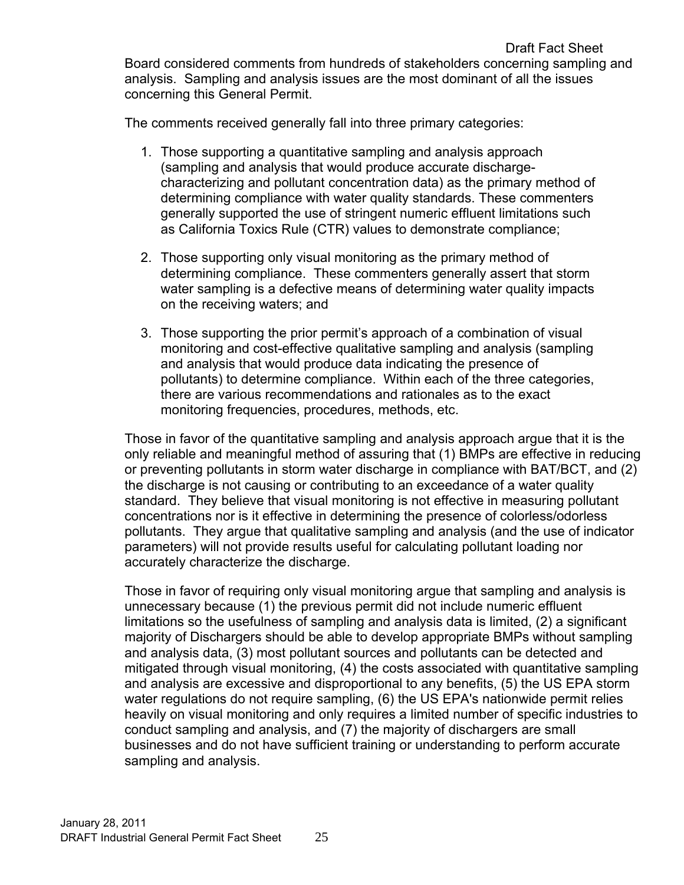The comments received generally fall into three primary categories:

- 1. Those supporting a quantitative sampling and analysis approach (sampling and analysis that would produce accurate dischargecharacterizing and pollutant concentration data) as the primary method of determining compliance with water quality standards. These commenters generally supported the use of stringent numeric effluent limitations such as California Toxics Rule (CTR) values to demonstrate compliance;
- 2. Those supporting only visual monitoring as the primary method of determining compliance. These commenters generally assert that storm water sampling is a defective means of determining water quality impacts on the receiving waters; and
- 3. Those supporting the prior permit's approach of a combination of visual monitoring and cost-effective qualitative sampling and analysis (sampling and analysis that would produce data indicating the presence of pollutants) to determine compliance. Within each of the three categories, there are various recommendations and rationales as to the exact monitoring frequencies, procedures, methods, etc.

Those in favor of the quantitative sampling and analysis approach argue that it is the only reliable and meaningful method of assuring that (1) BMPs are effective in reducing or preventing pollutants in storm water discharge in compliance with BAT/BCT, and (2) the discharge is not causing or contributing to an exceedance of a water quality standard. They believe that visual monitoring is not effective in measuring pollutant concentrations nor is it effective in determining the presence of colorless/odorless pollutants. They argue that qualitative sampling and analysis (and the use of indicator parameters) will not provide results useful for calculating pollutant loading nor accurately characterize the discharge.

Those in favor of requiring only visual monitoring argue that sampling and analysis is unnecessary because (1) the previous permit did not include numeric effluent limitations so the usefulness of sampling and analysis data is limited, (2) a significant majority of Dischargers should be able to develop appropriate BMPs without sampling and analysis data, (3) most pollutant sources and pollutants can be detected and mitigated through visual monitoring, (4) the costs associated with quantitative sampling and analysis are excessive and disproportional to any benefits, (5) the US EPA storm water regulations do not require sampling, (6) the US EPA's nationwide permit relies heavily on visual monitoring and only requires a limited number of specific industries to conduct sampling and analysis, and (7) the majority of dischargers are small businesses and do not have sufficient training or understanding to perform accurate sampling and analysis.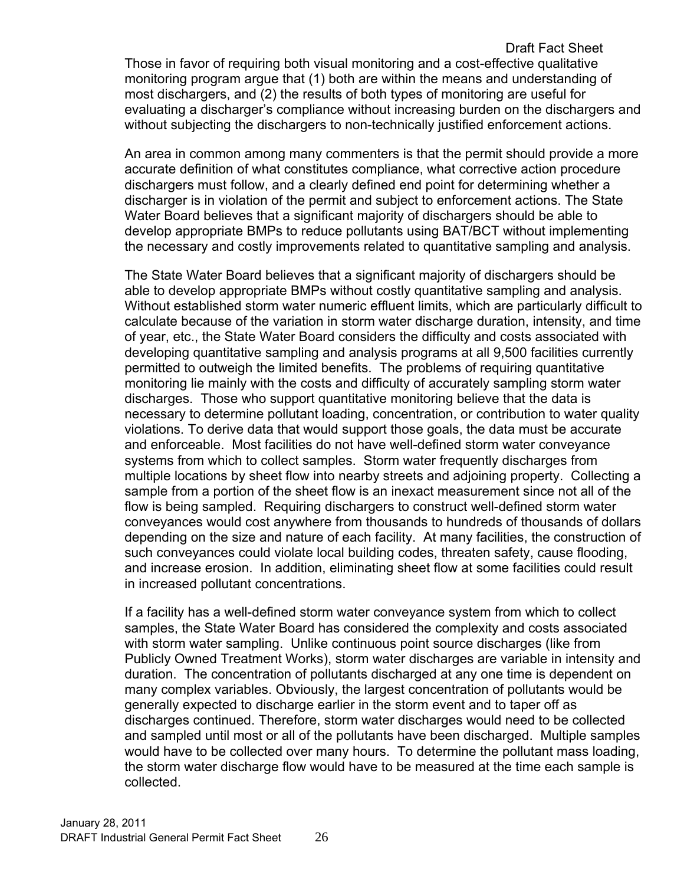Draft Fact Sheet Those in favor of requiring both visual monitoring and a cost-effective qualitative monitoring program argue that (1) both are within the means and understanding of most dischargers, and (2) the results of both types of monitoring are useful for evaluating a discharger's compliance without increasing burden on the dischargers and without subjecting the dischargers to non-technically justified enforcement actions.

An area in common among many commenters is that the permit should provide a more accurate definition of what constitutes compliance, what corrective action procedure dischargers must follow, and a clearly defined end point for determining whether a discharger is in violation of the permit and subject to enforcement actions. The State Water Board believes that a significant majority of dischargers should be able to develop appropriate BMPs to reduce pollutants using BAT/BCT without implementing the necessary and costly improvements related to quantitative sampling and analysis.

The State Water Board believes that a significant majority of dischargers should be able to develop appropriate BMPs without costly quantitative sampling and analysis. Without established storm water numeric effluent limits, which are particularly difficult to calculate because of the variation in storm water discharge duration, intensity, and time of year, etc., the State Water Board considers the difficulty and costs associated with developing quantitative sampling and analysis programs at all 9,500 facilities currently permitted to outweigh the limited benefits. The problems of requiring quantitative monitoring lie mainly with the costs and difficulty of accurately sampling storm water discharges. Those who support quantitative monitoring believe that the data is necessary to determine pollutant loading, concentration, or contribution to water quality violations. To derive data that would support those goals, the data must be accurate and enforceable. Most facilities do not have well-defined storm water conveyance systems from which to collect samples. Storm water frequently discharges from multiple locations by sheet flow into nearby streets and adjoining property. Collecting a sample from a portion of the sheet flow is an inexact measurement since not all of the flow is being sampled. Requiring dischargers to construct well-defined storm water conveyances would cost anywhere from thousands to hundreds of thousands of dollars depending on the size and nature of each facility. At many facilities, the construction of such conveyances could violate local building codes, threaten safety, cause flooding, and increase erosion. In addition, eliminating sheet flow at some facilities could result in increased pollutant concentrations.

If a facility has a well-defined storm water conveyance system from which to collect samples, the State Water Board has considered the complexity and costs associated with storm water sampling. Unlike continuous point source discharges (like from Publicly Owned Treatment Works), storm water discharges are variable in intensity and duration. The concentration of pollutants discharged at any one time is dependent on many complex variables. Obviously, the largest concentration of pollutants would be generally expected to discharge earlier in the storm event and to taper off as discharges continued. Therefore, storm water discharges would need to be collected and sampled until most or all of the pollutants have been discharged. Multiple samples would have to be collected over many hours. To determine the pollutant mass loading, the storm water discharge flow would have to be measured at the time each sample is collected.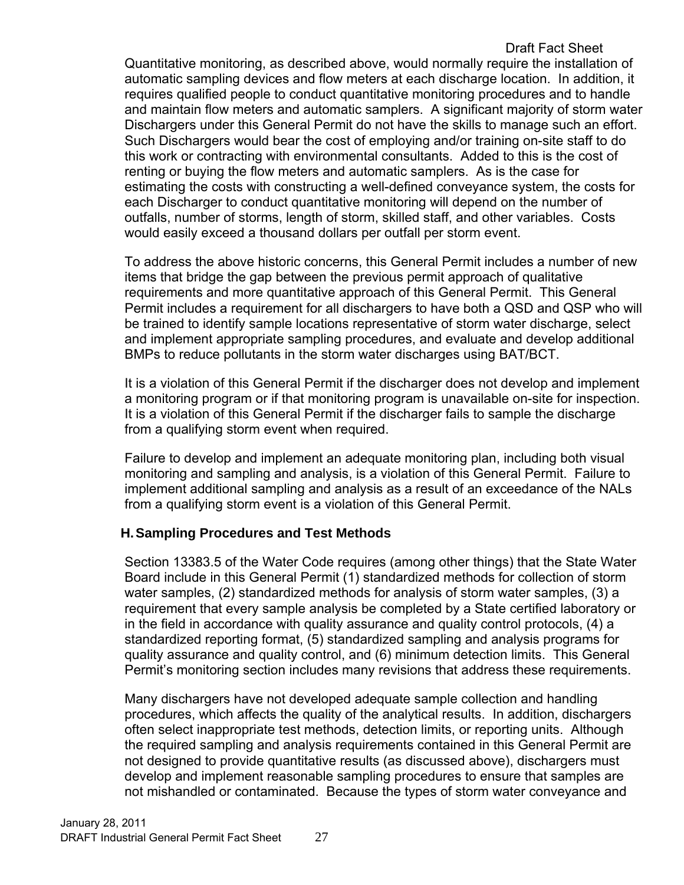### Draft Fact Sheet Quantitative monitoring, as described above, would normally require the installation of automatic sampling devices and flow meters at each discharge location. In addition, it requires qualified people to conduct quantitative monitoring procedures and to handle and maintain flow meters and automatic samplers. A significant majority of storm water Dischargers under this General Permit do not have the skills to manage such an effort. Such Dischargers would bear the cost of employing and/or training on-site staff to do this work or contracting with environmental consultants. Added to this is the cost of renting or buying the flow meters and automatic samplers. As is the case for estimating the costs with constructing a well-defined conveyance system, the costs for each Discharger to conduct quantitative monitoring will depend on the number of outfalls, number of storms, length of storm, skilled staff, and other variables. Costs would easily exceed a thousand dollars per outfall per storm event.

To address the above historic concerns, this General Permit includes a number of new items that bridge the gap between the previous permit approach of qualitative requirements and more quantitative approach of this General Permit. This General Permit includes a requirement for all dischargers to have both a QSD and QSP who will be trained to identify sample locations representative of storm water discharge, select and implement appropriate sampling procedures, and evaluate and develop additional BMPs to reduce pollutants in the storm water discharges using BAT/BCT.

It is a violation of this General Permit if the discharger does not develop and implement a monitoring program or if that monitoring program is unavailable on-site for inspection. It is a violation of this General Permit if the discharger fails to sample the discharge from a qualifying storm event when required.

Failure to develop and implement an adequate monitoring plan, including both visual monitoring and sampling and analysis, is a violation of this General Permit. Failure to implement additional sampling and analysis as a result of an exceedance of the NALs from a qualifying storm event is a violation of this General Permit.

## <span id="page-27-0"></span>**H. Sampling Procedures and Test Methods**

Section 13383.5 of the Water Code requires (among other things) that the State Water Board include in this General Permit (1) standardized methods for collection of storm water samples, (2) standardized methods for analysis of storm water samples, (3) a requirement that every sample analysis be completed by a State certified laboratory or in the field in accordance with quality assurance and quality control protocols, (4) a standardized reporting format, (5) standardized sampling and analysis programs for quality assurance and quality control, and (6) minimum detection limits. This General Permit's monitoring section includes many revisions that address these requirements.

Many dischargers have not developed adequate sample collection and handling procedures, which affects the quality of the analytical results. In addition, dischargers often select inappropriate test methods, detection limits, or reporting units. Although the required sampling and analysis requirements contained in this General Permit are not designed to provide quantitative results (as discussed above), dischargers must develop and implement reasonable sampling procedures to ensure that samples are not mishandled or contaminated. Because the types of storm water conveyance and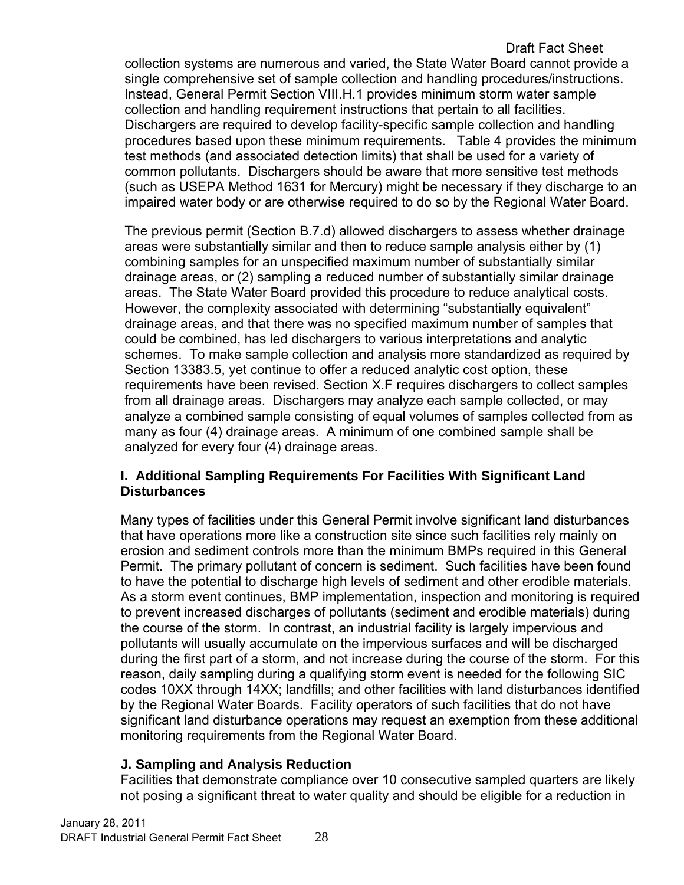Draft Fact Sheet collection systems are numerous and varied, the State Water Board cannot provide a single comprehensive set of sample collection and handling procedures/instructions. Instead, General Permit Section VIII.H.1 provides minimum storm water sample collection and handling requirement instructions that pertain to all facilities. Dischargers are required to develop facility-specific sample collection and handling procedures based upon these minimum requirements. Table 4 provides the minimum test methods (and associated detection limits) that shall be used for a variety of common pollutants. Dischargers should be aware that more sensitive test methods (such as USEPA Method 1631 for Mercury) might be necessary if they discharge to an impaired water body or are otherwise required to do so by the Regional Water Board.

The previous permit (Section B.7.d) allowed dischargers to assess whether drainage areas were substantially similar and then to reduce sample analysis either by (1) combining samples for an unspecified maximum number of substantially similar drainage areas, or (2) sampling a reduced number of substantially similar drainage areas. The State Water Board provided this procedure to reduce analytical costs. However, the complexity associated with determining "substantially equivalent" drainage areas, and that there was no specified maximum number of samples that could be combined, has led dischargers to various interpretations and analytic schemes. To make sample collection and analysis more standardized as required by Section 13383.5, yet continue to offer a reduced analytic cost option, these requirements have been revised. Section X.F requires dischargers to collect samples from all drainage areas. Dischargers may analyze each sample collected, or may analyze a combined sample consisting of equal volumes of samples collected from as many as four (4) drainage areas. A minimum of one combined sample shall be analyzed for every four (4) drainage areas.

## <span id="page-28-0"></span>**I. Additional Sampling Requirements For Facilities With Significant Land Disturbances**

Many types of facilities under this General Permit involve significant land disturbances that have operations more like a construction site since such facilities rely mainly on erosion and sediment controls more than the minimum BMPs required in this General Permit. The primary pollutant of concern is sediment. Such facilities have been found to have the potential to discharge high levels of sediment and other erodible materials. As a storm event continues, BMP implementation, inspection and monitoring is required to prevent increased discharges of pollutants (sediment and erodible materials) during the course of the storm. In contrast, an industrial facility is largely impervious and pollutants will usually accumulate on the impervious surfaces and will be discharged during the first part of a storm, and not increase during the course of the storm. For this reason, daily sampling during a qualifying storm event is needed for the following SIC codes 10XX through 14XX; landfills; and other facilities with land disturbances identified by the Regional Water Boards. Facility operators of such facilities that do not have significant land disturbance operations may request an exemption from these additional monitoring requirements from the Regional Water Board.

## <span id="page-28-1"></span>**J. Sampling and Analysis Reduction**

Facilities that demonstrate compliance over 10 consecutive sampled quarters are likely not posing a significant threat to water quality and should be eligible for a reduction in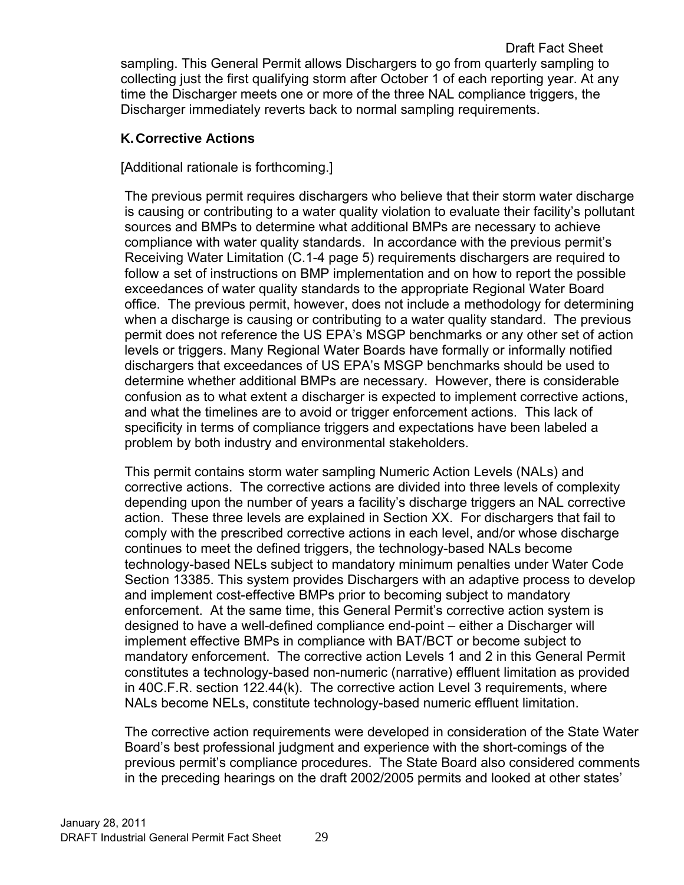## <span id="page-29-0"></span>**K. Corrective Actions**

[Additional rationale is forthcoming.]

The previous permit requires dischargers who believe that their storm water discharge is causing or contributing to a water quality violation to evaluate their facility's pollutant sources and BMPs to determine what additional BMPs are necessary to achieve compliance with water quality standards. In accordance with the previous permit's Receiving Water Limitation (C.1-4 page 5) requirements dischargers are required to follow a set of instructions on BMP implementation and on how to report the possible exceedances of water quality standards to the appropriate Regional Water Board office. The previous permit, however, does not include a methodology for determining when a discharge is causing or contributing to a water quality standard. The previous permit does not reference the US EPA's MSGP benchmarks or any other set of action levels or triggers. Many Regional Water Boards have formally or informally notified dischargers that exceedances of US EPA's MSGP benchmarks should be used to determine whether additional BMPs are necessary. However, there is considerable confusion as to what extent a discharger is expected to implement corrective actions, and what the timelines are to avoid or trigger enforcement actions. This lack of specificity in terms of compliance triggers and expectations have been labeled a problem by both industry and environmental stakeholders.

This permit contains storm water sampling Numeric Action Levels (NALs) and corrective actions. The corrective actions are divided into three levels of complexity depending upon the number of years a facility's discharge triggers an NAL corrective action. These three levels are explained in Section XX. For dischargers that fail to comply with the prescribed corrective actions in each level, and/or whose discharge continues to meet the defined triggers, the technology-based NALs become technology-based NELs subject to mandatory minimum penalties under Water Code Section 13385. This system provides Dischargers with an adaptive process to develop and implement cost-effective BMPs prior to becoming subject to mandatory enforcement. At the same time, this General Permit's corrective action system is designed to have a well-defined compliance end-point – either a Discharger will implement effective BMPs in compliance with BAT/BCT or become subject to mandatory enforcement. The corrective action Levels 1 and 2 in this General Permit constitutes a technology-based non-numeric (narrative) effluent limitation as provided in 40C.F.R. section 122.44(k). The corrective action Level 3 requirements, where NALs become NELs, constitute technology-based numeric effluent limitation.

The corrective action requirements were developed in consideration of the State Water Board's best professional judgment and experience with the short-comings of the previous permit's compliance procedures. The State Board also considered comments in the preceding hearings on the draft 2002/2005 permits and looked at other states'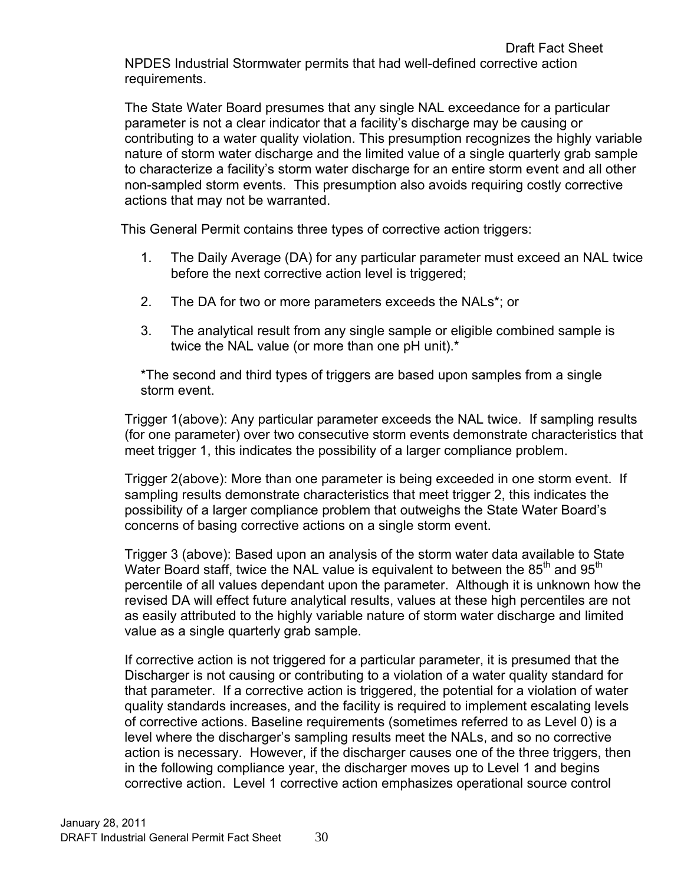NPDES Industrial Stormwater permits that had well-defined corrective action requirements.

The State Water Board presumes that any single NAL exceedance for a particular parameter is not a clear indicator that a facility's discharge may be causing or contributing to a water quality violation. This presumption recognizes the highly variable nature of storm water discharge and the limited value of a single quarterly grab sample to characterize a facility's storm water discharge for an entire storm event and all other non-sampled storm events. This presumption also avoids requiring costly corrective actions that may not be warranted.

This General Permit contains three types of corrective action triggers:

- 1. The Daily Average (DA) for any particular parameter must exceed an NAL twice before the next corrective action level is triggered;
- 2. The DA for two or more parameters exceeds the NALs\*; or
- 3. The analytical result from any single sample or eligible combined sample is twice the NAL value (or more than one pH unit).\*

\*The second and third types of triggers are based upon samples from a single storm event.

Trigger 1(above): Any particular parameter exceeds the NAL twice. If sampling results (for one parameter) over two consecutive storm events demonstrate characteristics that meet trigger 1, this indicates the possibility of a larger compliance problem.

Trigger 2(above): More than one parameter is being exceeded in one storm event. If sampling results demonstrate characteristics that meet trigger 2, this indicates the possibility of a larger compliance problem that outweighs the State Water Board's concerns of basing corrective actions on a single storm event.

Trigger 3 (above): Based upon an analysis of the storm water data available to State Water Board staff, twice the NAL value is equivalent to between the  $85<sup>th</sup>$  and  $95<sup>th</sup>$ percentile of all values dependant upon the parameter. Although it is unknown how the revised DA will effect future analytical results, values at these high percentiles are not as easily attributed to the highly variable nature of storm water discharge and limited value as a single quarterly grab sample.

If corrective action is not triggered for a particular parameter, it is presumed that the Discharger is not causing or contributing to a violation of a water quality standard for that parameter. If a corrective action is triggered, the potential for a violation of water quality standards increases, and the facility is required to implement escalating levels of corrective actions. Baseline requirements (sometimes referred to as Level 0) is a level where the discharger's sampling results meet the NALs, and so no corrective action is necessary. However, if the discharger causes one of the three triggers, then in the following compliance year, the discharger moves up to Level 1 and begins corrective action. Level 1 corrective action emphasizes operational source control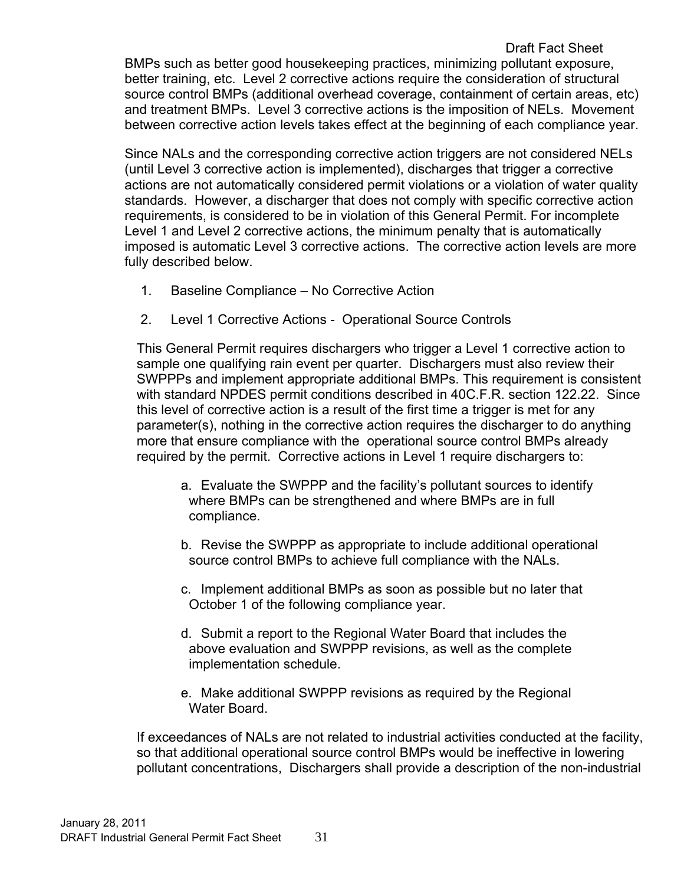## Draft Fact Sheet

BMPs such as better good housekeeping practices, minimizing pollutant exposure, better training, etc. Level 2 corrective actions require the consideration of structural source control BMPs (additional overhead coverage, containment of certain areas, etc) and treatment BMPs. Level 3 corrective actions is the imposition of NELs. Movement between corrective action levels takes effect at the beginning of each compliance year.

Since NALs and the corresponding corrective action triggers are not considered NELs (until Level 3 corrective action is implemented), discharges that trigger a corrective actions are not automatically considered permit violations or a violation of water quality standards. However, a discharger that does not comply with specific corrective action requirements, is considered to be in violation of this General Permit. For incomplete Level 1 and Level 2 corrective actions, the minimum penalty that is automatically imposed is automatic Level 3 corrective actions. The corrective action levels are more fully described below.

- 1. Baseline Compliance No Corrective Action
- 2. Level 1 Corrective Actions Operational Source Controls

This General Permit requires dischargers who trigger a Level 1 corrective action to sample one qualifying rain event per quarter. Dischargers must also review their SWPPPs and implement appropriate additional BMPs. This requirement is consistent with standard NPDES permit conditions described in 40C.F.R. section 122.22. Since this level of corrective action is a result of the first time a trigger is met for any parameter(s), nothing in the corrective action requires the discharger to do anything more that ensure compliance with the operational source control BMPs already required by the permit. Corrective actions in Level 1 require dischargers to:

- a. Evaluate the SWPPP and the facility's pollutant sources to identify where BMPs can be strengthened and where BMPs are in full compliance.
- b. Revise the SWPPP as appropriate to include additional operational source control BMPs to achieve full compliance with the NALs.
- c. Implement additional BMPs as soon as possible but no later that October 1 of the following compliance year.
- d. Submit a report to the Regional Water Board that includes the above evaluation and SWPPP revisions, as well as the complete implementation schedule.
- e. Make additional SWPPP revisions as required by the Regional Water Board.

If exceedances of NALs are not related to industrial activities conducted at the facility, so that additional operational source control BMPs would be ineffective in lowering pollutant concentrations, Dischargers shall provide a description of the non-industrial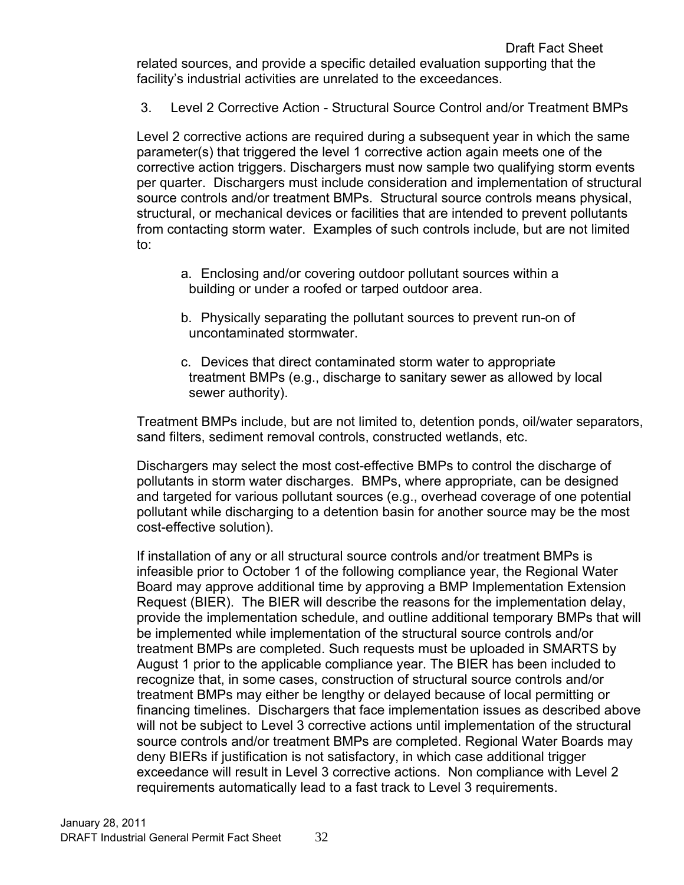3. Level 2 Corrective Action - Structural Source Control and/or Treatment BMPs

Level 2 corrective actions are required during a subsequent year in which the same parameter(s) that triggered the level 1 corrective action again meets one of the corrective action triggers. Dischargers must now sample two qualifying storm events per quarter. Dischargers must include consideration and implementation of structural source controls and/or treatment BMPs. Structural source controls means physical, structural, or mechanical devices or facilities that are intended to prevent pollutants from contacting storm water. Examples of such controls include, but are not limited to:

- a. Enclosing and/or covering outdoor pollutant sources within a building or under a roofed or tarped outdoor area.
- b. Physically separating the pollutant sources to prevent run-on of uncontaminated stormwater.
- c. Devices that direct contaminated storm water to appropriate treatment BMPs (e.g., discharge to sanitary sewer as allowed by local sewer authority).

Treatment BMPs include, but are not limited to, detention ponds, oil/water separators, sand filters, sediment removal controls, constructed wetlands, etc.

Dischargers may select the most cost-effective BMPs to control the discharge of pollutants in storm water discharges. BMPs, where appropriate, can be designed and targeted for various pollutant sources (e.g., overhead coverage of one potential pollutant while discharging to a detention basin for another source may be the most cost-effective solution).

If installation of any or all structural source controls and/or treatment BMPs is infeasible prior to October 1 of the following compliance year, the Regional Water Board may approve additional time by approving a BMP Implementation Extension Request (BIER). The BIER will describe the reasons for the implementation delay, provide the implementation schedule, and outline additional temporary BMPs that will be implemented while implementation of the structural source controls and/or treatment BMPs are completed. Such requests must be uploaded in SMARTS by August 1 prior to the applicable compliance year. The BIER has been included to recognize that, in some cases, construction of structural source controls and/or treatment BMPs may either be lengthy or delayed because of local permitting or financing timelines. Dischargers that face implementation issues as described above will not be subject to Level 3 corrective actions until implementation of the structural source controls and/or treatment BMPs are completed. Regional Water Boards may deny BIERs if justification is not satisfactory, in which case additional trigger exceedance will result in Level 3 corrective actions. Non compliance with Level 2 requirements automatically lead to a fast track to Level 3 requirements.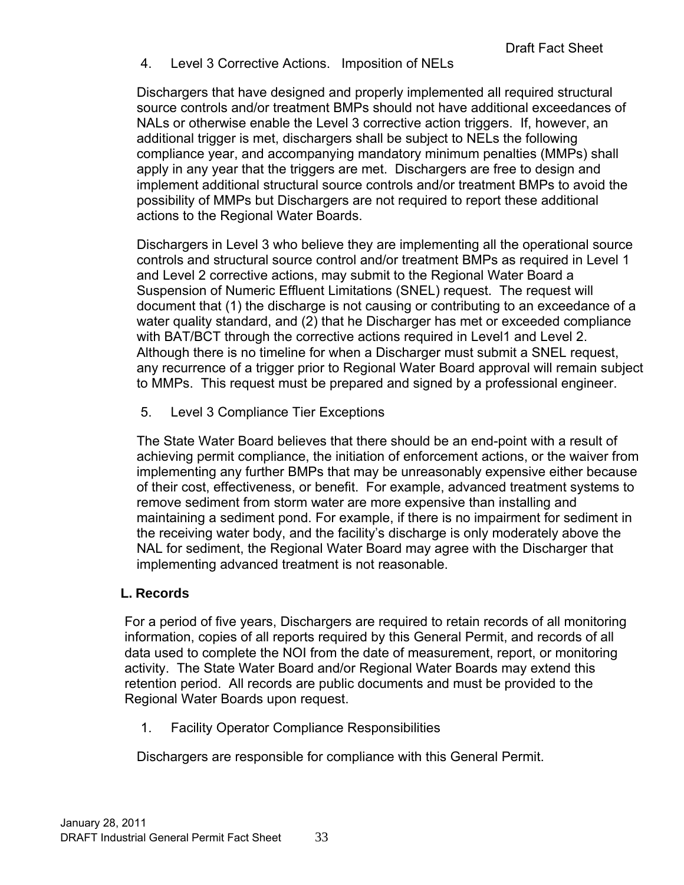4. Level 3 Corrective Actions. Imposition of NELs

Dischargers that have designed and properly implemented all required structural source controls and/or treatment BMPs should not have additional exceedances of NALs or otherwise enable the Level 3 corrective action triggers. If, however, an additional trigger is met, dischargers shall be subject to NELs the following compliance year, and accompanying mandatory minimum penalties (MMPs) shall apply in any year that the triggers are met. Dischargers are free to design and implement additional structural source controls and/or treatment BMPs to avoid the possibility of MMPs but Dischargers are not required to report these additional actions to the Regional Water Boards.

Dischargers in Level 3 who believe they are implementing all the operational source controls and structural source control and/or treatment BMPs as required in Level 1 and Level 2 corrective actions, may submit to the Regional Water Board a Suspension of Numeric Effluent Limitations (SNEL) request. The request will document that (1) the discharge is not causing or contributing to an exceedance of a water quality standard, and (2) that he Discharger has met or exceeded compliance with BAT/BCT through the corrective actions required in Level1 and Level 2. Although there is no timeline for when a Discharger must submit a SNEL request, any recurrence of a trigger prior to Regional Water Board approval will remain subject to MMPs. This request must be prepared and signed by a professional engineer.

5. Level 3 Compliance Tier Exceptions

The State Water Board believes that there should be an end-point with a result of achieving permit compliance, the initiation of enforcement actions, or the waiver from implementing any further BMPs that may be unreasonably expensive either because of their cost, effectiveness, or benefit. For example, advanced treatment systems to remove sediment from storm water are more expensive than installing and maintaining a sediment pond. For example, if there is no impairment for sediment in the receiving water body, and the facility's discharge is only moderately above the NAL for sediment, the Regional Water Board may agree with the Discharger that implementing advanced treatment is not reasonable.

### <span id="page-33-0"></span>**L. Records**

For a period of five years, Dischargers are required to retain records of all monitoring information, copies of all reports required by this General Permit, and records of all data used to complete the NOI from the date of measurement, report, or monitoring activity. The State Water Board and/or Regional Water Boards may extend this retention period. All records are public documents and must be provided to the Regional Water Boards upon request.

1. Facility Operator Compliance Responsibilities

Dischargers are responsible for compliance with this General Permit.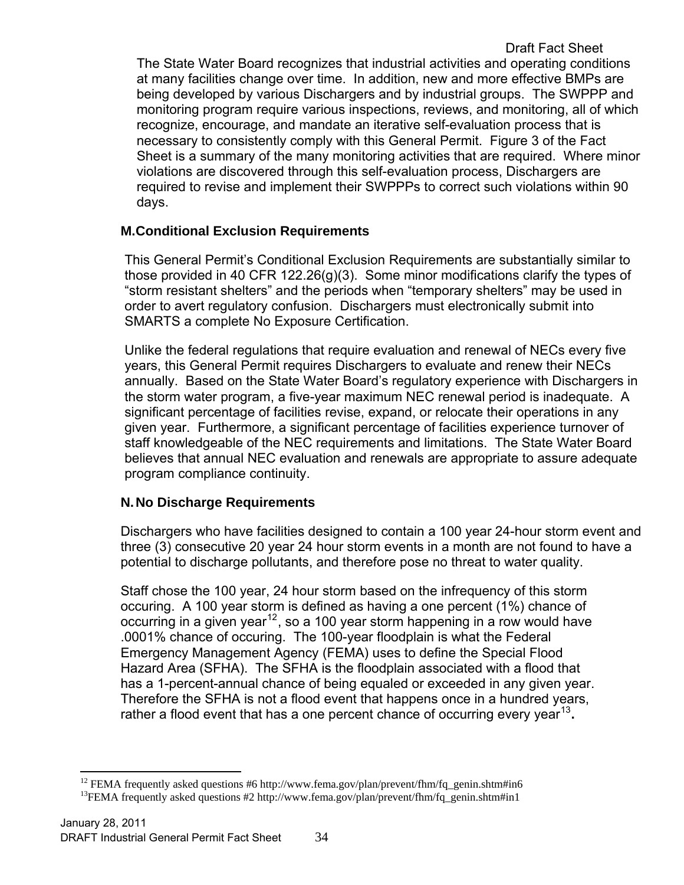Sheet is a summary of the many monitoring activities that are required. Where minor violations are discovered through this self-evaluation process, Dischargers are required to revise and implement their SWPPPs to correct such violations within 90 days.

## <span id="page-34-0"></span>**M.Conditional Exclusion Requirements**

This General Permit's Conditional Exclusion Requirements are substantially similar to those provided in 40 CFR 122.26(g)(3). Some minor modifications clarify the types of "storm resistant shelters" and the periods when "temporary shelters" may be used in order to avert regulatory confusion. Dischargers must electronically submit into SMARTS a complete No Exposure Certification.

Unlike the federal regulations that require evaluation and renewal of NECs every five years, this General Permit requires Dischargers to evaluate and renew their NECs annually. Based on the State Water Board's regulatory experience with Dischargers in the storm water program, a five-year maximum NEC renewal period is inadequate. A significant percentage of facilities revise, expand, or relocate their operations in any given year. Furthermore, a significant percentage of facilities experience turnover of staff knowledgeable of the NEC requirements and limitations. The State Water Board believes that annual NEC evaluation and renewals are appropriate to assure adequate program compliance continuity.

## <span id="page-34-1"></span>**N. No Discharge Requirements**

Dischargers who have facilities designed to contain a 100 year 24-hour storm event and three (3) consecutive 20 year 24 hour storm events in a month are not found to have a potential to discharge pollutants, and therefore pose no threat to water quality.

Staff chose the 100 year, 24 hour storm based on the infrequency of this storm occuring. A 100 year storm is defined as having a one percent (1%) chance of occurring in a given year<sup>[12](#page-34-2)</sup>, so a 100 year storm happening in a row would have .0001% chance of occuring. The 100-year floodplain is what the Federal Emergency Management Agency (FEMA) uses to define the Special Flood Hazard Area (SFHA). The SFHA is the floodplain associated with a flood that has a 1-percent-annual chance of being equaled or exceeded in any given year. Therefore the SFHA is not a flood event that happens once in a hundred years, rather a flood event that has a one percent chance of occurring every year<sup>[13](#page-34-3)</sup>.

<span id="page-34-2"></span> $\overline{a}$ <sup>12</sup> FEMA frequently asked questions #6 http://www.fema.gov/plan/prevent/fhm/fq\_genin.shtm#in6 <sup>13</sup>FEMA frequently asked questions #2 http://www.fema.gov/plan/prevent/fhm/fq\_genin.shtm#in1

<span id="page-34-3"></span>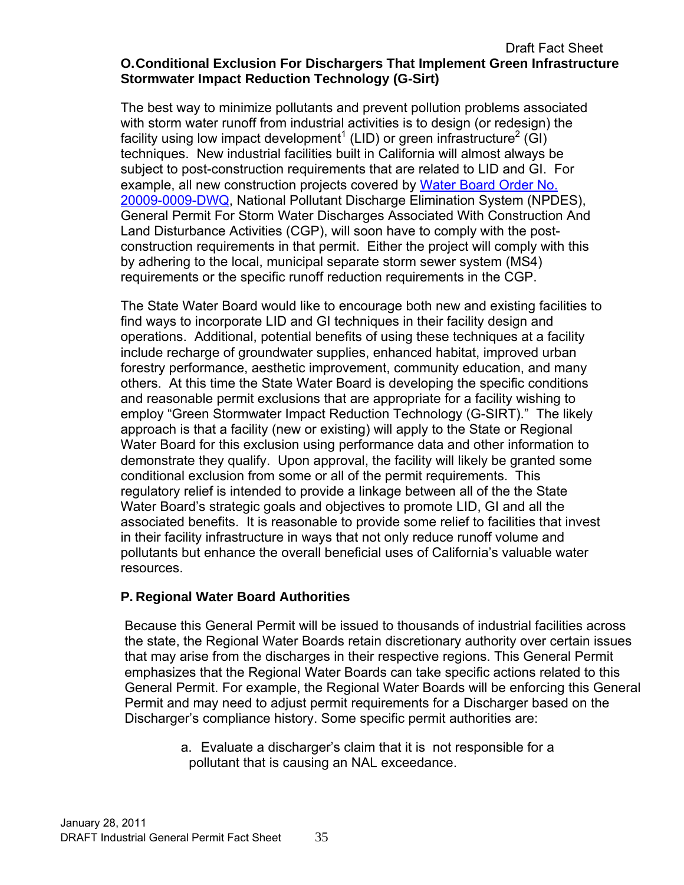#### <span id="page-35-0"></span>Draft Fact Sheet **O. Conditional Exclusion For Dischargers That Implement Green Infrastructure Stormwater Impact Reduction Technology (G-Sirt)**

The best way to minimize pollutants and prevent pollution problems associated with storm water runoff from industrial activities is to design (or redesign) the facility using low impact development<sup>1</sup> (LID) or green infrastructure<sup>2</sup> (GI) techniques. New industrial facilities built in California will almost always be subject to post-construction requirements that are related to LID and GI. For example, all new construction projects covered by Water Board Order No. [20009-0009-DWQ](http://www.waterboards.ca.gov/water_issues/programs/stormwater/construction.shtml), National Pollutant Discharge Elimination System (NPDES), General Permit For Storm Water Discharges Associated With Construction And Land Disturbance Activities (CGP), will soon have to comply with the postconstruction requirements in that permit. Either the project will comply with this by adhering to the local, municipal separate storm sewer system (MS4) requirements or the specific runoff reduction requirements in the CGP.

The State Water Board would like to encourage both new and existing facilities to find ways to incorporate LID and GI techniques in their facility design and operations. Additional, potential benefits of using these techniques at a facility include recharge of groundwater supplies, enhanced habitat, improved urban forestry performance, aesthetic improvement, community education, and many others. At this time the State Water Board is developing the specific conditions and reasonable permit exclusions that are appropriate for a facility wishing to employ "Green Stormwater Impact Reduction Technology (G-SIRT)." The likely approach is that a facility (new or existing) will apply to the State or Regional Water Board for this exclusion using performance data and other information to demonstrate they qualify. Upon approval, the facility will likely be granted some conditional exclusion from some or all of the permit requirements. This regulatory relief is intended to provide a linkage between all of the the State Water Board's strategic goals and objectives to promote LID, GI and all the associated benefits. It is reasonable to provide some relief to facilities that invest in their facility infrastructure in ways that not only reduce runoff volume and pollutants but enhance the overall beneficial uses of California's valuable water resources.

### <span id="page-35-1"></span>**P. Regional Water Board Authorities**

Because this General Permit will be issued to thousands of industrial facilities across the state, the Regional Water Boards retain discretionary authority over certain issues that may arise from the discharges in their respective regions. This General Permit emphasizes that the Regional Water Boards can take specific actions related to this General Permit. For example, the Regional Water Boards will be enforcing this General Permit and may need to adjust permit requirements for a Discharger based on the Discharger's compliance history. Some specific permit authorities are:

> a. Evaluate a discharger's claim that it is not responsible for a pollutant that is causing an NAL exceedance.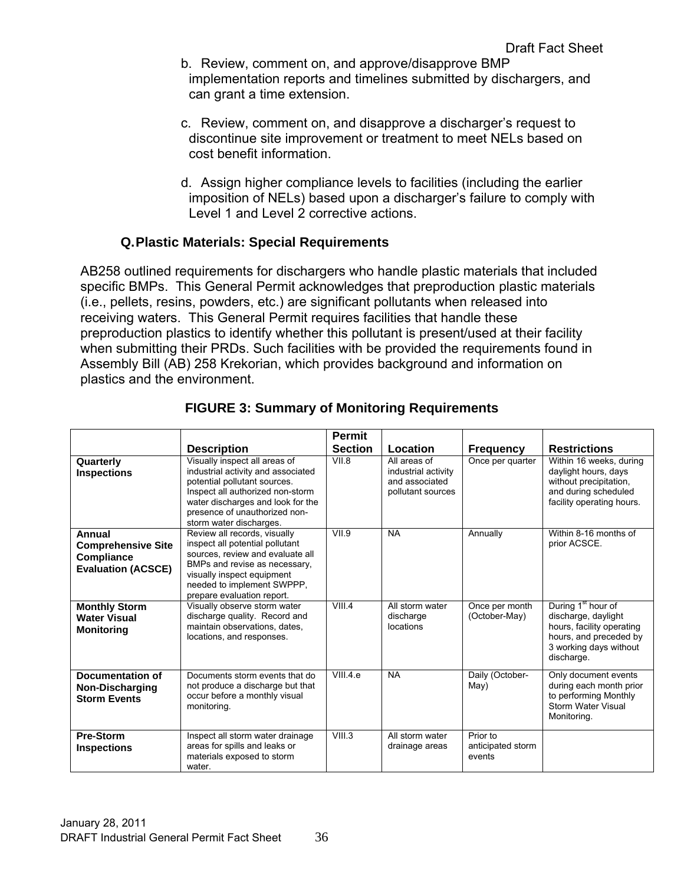- b. Review, comment on, and approve/disapprove BMP implementation reports and timelines submitted by dischargers, and can grant a time extension.
- c. Review, comment on, and disapprove a discharger's request to discontinue site improvement or treatment to meet NELs based on cost benefit information.
- d. Assign higher compliance levels to facilities (including the earlier imposition of NELs) based upon a discharger's failure to comply with Level 1 and Level 2 corrective actions.

## **Q. Plastic Materials: Special Requirements**

<span id="page-36-0"></span>AB258 outlined requirements for dischargers who handle plastic materials that included specific BMPs. This General Permit acknowledges that preproduction plastic materials (i.e., pellets, resins, powders, etc.) are significant pollutants when released into receiving waters. This General Permit requires facilities that handle these preproduction plastics to identify whether this pollutant is present/used at their facility when submitting their PRDs. Such facilities with be provided the requirements found in Assembly Bill (AB) 258 Krekorian, which provides background and information on plastics and the environment.

<span id="page-36-1"></span>

|                                                                                       |                                                                                                                                                                                                                                          | Permit         |                                                                            |                                         |                                                                                                                                                      |
|---------------------------------------------------------------------------------------|------------------------------------------------------------------------------------------------------------------------------------------------------------------------------------------------------------------------------------------|----------------|----------------------------------------------------------------------------|-----------------------------------------|------------------------------------------------------------------------------------------------------------------------------------------------------|
|                                                                                       | <b>Description</b>                                                                                                                                                                                                                       | <b>Section</b> | Location                                                                   | <b>Frequency</b>                        | <b>Restrictions</b>                                                                                                                                  |
| Quarterly<br><b>Inspections</b>                                                       | Visually inspect all areas of<br>industrial activity and associated<br>potential pollutant sources.<br>Inspect all authorized non-storm<br>water discharges and look for the<br>presence of unauthorized non-<br>storm water discharges. | VII.8          | All areas of<br>industrial activity<br>and associated<br>pollutant sources | Once per quarter                        | Within 16 weeks, during<br>daylight hours, days<br>without precipitation.<br>and during scheduled<br>facility operating hours.                       |
| Annual<br><b>Comprehensive Site</b><br><b>Compliance</b><br><b>Evaluation (ACSCE)</b> | Review all records, visually<br>inspect all potential pollutant<br>sources, review and evaluate all<br>BMPs and revise as necessary,<br>visually inspect equipment<br>needed to implement SWPPP,<br>prepare evaluation report.           | VII.9          | <b>NA</b>                                                                  | Annually                                | Within 8-16 months of<br>prior ACSCE.                                                                                                                |
| <b>Monthly Storm</b><br><b>Water Visual</b><br><b>Monitoring</b>                      | Visually observe storm water<br>discharge quality. Record and<br>maintain observations, dates,<br>locations, and responses.                                                                                                              | VIII.4         | All storm water<br>discharge<br>locations                                  | Once per month<br>(October-May)         | During 1 <sup>st</sup> hour of<br>discharge, daylight<br>hours, facility operating<br>hours, and preceded by<br>3 working days without<br>discharge. |
| Documentation of<br>Non-Discharging<br><b>Storm Events</b>                            | Documents storm events that do<br>not produce a discharge but that<br>occur before a monthly visual<br>monitoring.                                                                                                                       | VIII.4.e       | <b>NA</b>                                                                  | Daily (October-<br>May)                 | Only document events<br>during each month prior<br>to performing Monthly<br><b>Storm Water Visual</b><br>Monitoring.                                 |
| Pre-Storm<br><b>Inspections</b>                                                       | Inspect all storm water drainage<br>areas for spills and leaks or<br>materials exposed to storm<br>water.                                                                                                                                | VIII.3         | All storm water<br>drainage areas                                          | Prior to<br>anticipated storm<br>events |                                                                                                                                                      |

# **FIGURE 3: Summary of Monitoring Requirements**